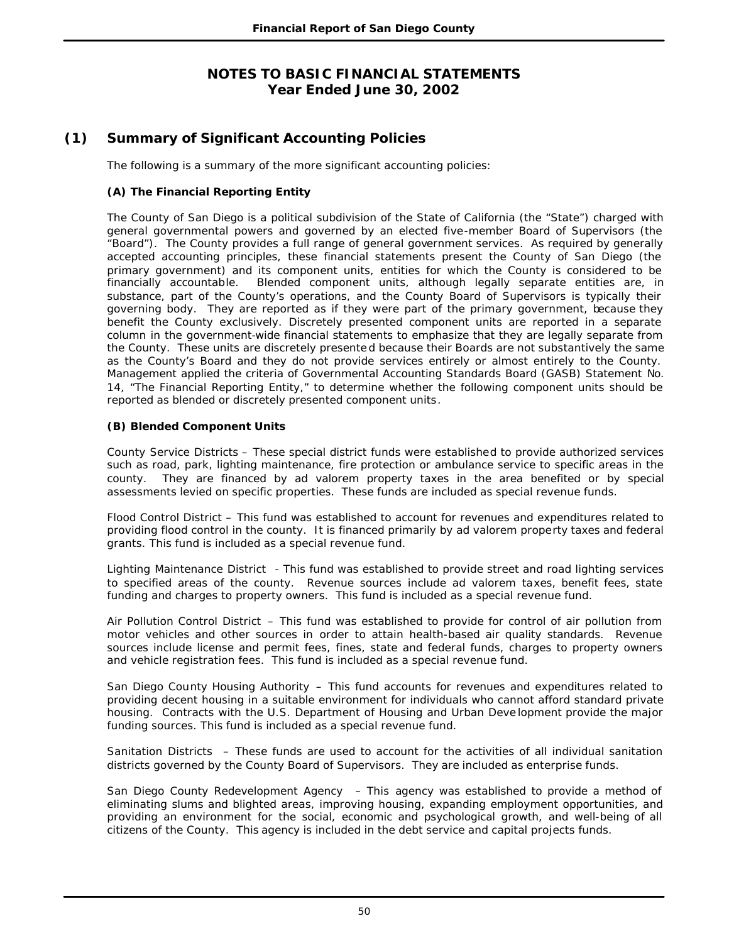# **(1) Summary of Significant Accounting Policies**

The following is a summary of the more significant accounting policies:

### **(A) The Financial Reporting Entity**

The County of San Diego is a political subdivision of the State of California (the "State") charged with general governmental powers and governed by an elected five-member Board of Supervisors (the "Board"). The County provides a full range of general government services. As required by generally accepted accounting principles, these financial statements present the County of San Diego (the primary government) and its component units, entities for which the County is considered to be financially accountable. Blended component units, although legally separate entities are, in substance, part of the County's operations, and the County Board of Supervisors is typically their governing body. They are reported as if they were part of the primary government, because they benefit the County exclusively. Discretely presented component units are reported in a separate column in the government-wide financial statements to emphasize that they are legally separate from the County. These units are discretely presente d because their Boards are not substantively the same as the County's Board and they do not provide services entirely or almost entirely to the County. Management applied the criteria of Governmental Accounting Standards Board (GASB) Statement No. 14, "The Financial Reporting Entity," to determine whether the following component units should be reported as blended or discretely presented component units.

### **(B) Blended Component Units**

County Service Districts – These special district funds were established to provide authorized services such as road, park, lighting maintenance, fire protection or ambulance service to specific areas in the county. They are financed by ad valorem property taxes in the area benefited or by special assessments levied on specific properties. These funds are included as special revenue funds.

Flood Control District – This fund was established to account for revenues and expenditures related to providing flood control in the county. It is financed primarily by ad valorem property taxes and federal grants. This fund is included as a special revenue fund.

Lighting Maintenance District - This fund was established to provide street and road lighting services to specified areas of the county. Revenue sources include ad valorem taxes, benefit fees, state funding and charges to property owners. This fund is included as a special revenue fund.

Air Pollution Control District – This fund was established to provide for control of air pollution from motor vehicles and other sources in order to attain health-based air quality standards. Revenue sources include license and permit fees, fines, state and federal funds, charges to property owners and vehicle registration fees. This fund is included as a special revenue fund.

San Diego County Housing Authority – This fund accounts for revenues and expenditures related to providing decent housing in a suitable environment for individuals who cannot afford standard private housing. Contracts with the U.S. Department of Housing and Urban Deve lopment provide the major funding sources. This fund is included as a special revenue fund.

Sanitation Districts – These funds are used to account for the activities of all individual sanitation districts governed by the County Board of Supervisors. They are included as enterprise funds.

San Diego County Redevelopment Agency – This agency was established to provide a method of eliminating slums and blighted areas, improving housing, expanding employment opportunities, and providing an environment for the social, economic and psychological growth, and well-being of all citizens of the County. This agency is included in the debt service and capital projects funds.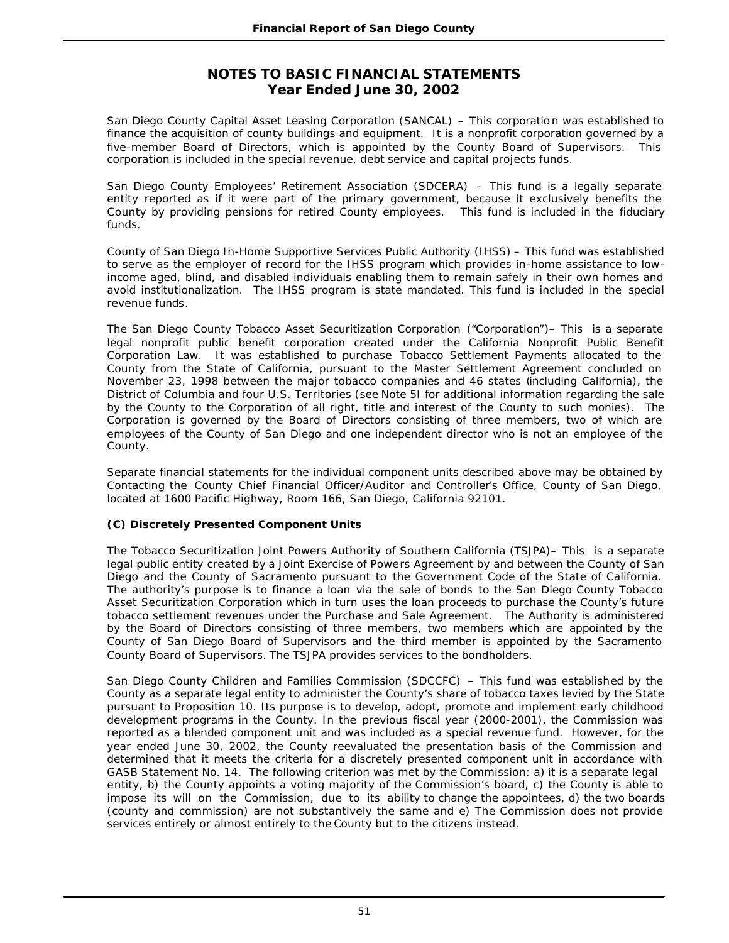San Diego County Capital Asset Leasing Corporation (SANCAL) – This corporation was established to finance the acquisition of county buildings and equipment. It is a nonprofit corporation governed by a five-member Board of Directors, which is appointed by the County Board of Supervisors. This corporation is included in the special revenue, debt service and capital projects funds.

San Diego County Employees' Retirement Association (SDCERA) – This fund is a legally separate entity reported as if it were part of the primary government, because it exclusively benefits the County by providing pensions for retired County employees. This fund is included in the fiduciary funds.

County of San Diego In-Home Supportive Services Public Authority (IHSS) – This fund was established to serve as the employer of record for the IHSS program which provides in-home assistance to lowincome aged, blind, and disabled individuals enabling them to remain safely in their own homes and avoid institutionalization. The IHSS program is state mandated. This fund is included in the special revenue funds.

The San Diego County Tobacco Asset Securitization Corporation ("Corporation")– This is a separate legal nonprofit public benefit corporation created under the California Nonprofit Public Benefit Corporation Law. It was established to purchase Tobacco Settlement Payments allocated to the County from the State of California, pursuant to the Master Settlement Agreement concluded on November 23, 1998 between the major tobacco companies and 46 states (including California), the District of Columbia and four U.S. Territories (see Note 5I for additional information regarding the sale by the County to the Corporation of all right, title and interest of the County to such monies). The Corporation is governed by the Board of Directors consisting of three members, two of which are employees of the County of San Diego and one independent director who is not an employee of the County.

Separate financial statements for the individual component units described above may be obtained by Contacting the County Chief Financial Officer/Auditor and Controller's Office, County of San Diego, located at 1600 Pacific Highway, Room 166, San Diego, California 92101.

### **(C) Discretely Presented Component Units**

The Tobacco Securitization Joint Powers Authority of Southern California (TSJPA)– This is a separate legal public entity created by a Joint Exercise of Powers Agreement by and between the County of San Diego and the County of Sacramento pursuant to the Government Code of the State of California. The authority's purpose is to finance a loan via the sale of bonds to the San Diego County Tobacco Asset Securitization Corporation which in turn uses the loan proceeds to purchase the County's future tobacco settlement revenues under the Purchase and Sale Agreement. The Authority is administered by the Board of Directors consisting of three members, two members which are appointed by the County of San Diego Board of Supervisors and the third member is appointed by the Sacramento County Board of Supervisors. The TSJPA provides services to the bondholders.

San Diego County Children and Families Commission (SDCCFC) – This fund was established by the County as a separate legal entity to administer the County's share of tobacco taxes levied by the State pursuant to Proposition 10. Its purpose is to develop, adopt, promote and implement early childhood development programs in the County. In the previous fiscal year (2000-2001), the Commission was reported as a blended component unit and was included as a special revenue fund. However, for the year ended June 30, 2002, the County reevaluated the presentation basis of the Commission and determined that it meets the criteria for a discretely presented component unit in accordance with GASB Statement No. 14. The following criterion was met by the Commission: a) it is a separate legal entity, b) the County appoints a voting majority of the Commission's board, c) the County is able to impose its will on the Commission, due to its ability to change the appointees, d) the two boards (county and commission) are not substantively the same and e) The Commission does not provide services entirely or almost entirely to the County but to the citizens instead.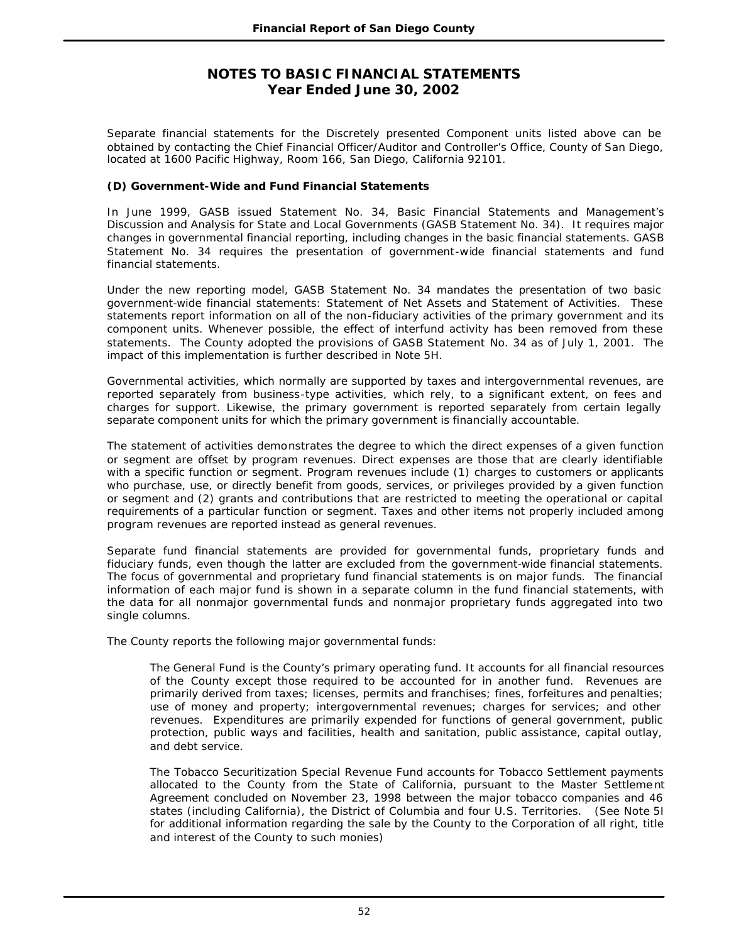Separate financial statements for the Discretely presented Component units listed above can be obtained by contacting the Chief Financial Officer/Auditor and Controller's Office, County of San Diego, located at 1600 Pacific Highway, Room 166, San Diego, California 92101.

### **(D) Government-Wide and Fund Financial Statements**

In June 1999, GASB issued Statement No. 34, *Basic Financial Statements and Management's Discussion and Analysis for State and Local Governments* (GASB Statement No. 34). It requires major changes in governmental financial reporting, including changes in the basic financial statements. GASB Statement No. 34 requires the presentation of government-wide financial statements and fund financial statements.

Under the new reporting model, GASB Statement No. 34 mandates the presentation of two basic government-wide financial statements: Statement of Net Assets and Statement of Activities. These statements report information on all of the non-fiduciary activities of the primary government and its component units. Whenever possible, the effect of interfund activity has been removed from these statements. The County adopted the provisions of GASB Statement No. 34 as of July 1, 2001. The impact of this implementation is further described in Note 5H.

Governmental activities, which normally are supported by taxes and intergovernmental revenues, are reported separately from business-type activities, which rely, to a significant extent, on fees and charges for support. Likewise, the primary government is reported separately from certain legally separate component units for which the primary government is financially accountable.

The statement of activities demonstrates the degree to which the direct expenses of a given function or segment are offset by program revenues. Direct expenses are those that are clearly identifiable with a specific function or segment. Program revenues include (1) charges to customers or applicants who purchase, use, or directly benefit from goods, services, or privileges provided by a given function or segment and (2) grants and contributions that are restricted to meeting the operational or capital requirements of a particular function or segment. Taxes and other items not properly included among program revenues are reported instead as general revenues.

Separate fund financial statements are provided for governmental funds, proprietary funds and fiduciary funds, even though the latter are excluded from the government-wide financial statements. The focus of governmental and proprietary fund financial statements is on major funds. The financial information of each major fund is shown in a separate column in the fund financial statements, with the data for all nonmajor governmental funds and nonmajor proprietary funds aggregated into two single columns.

The County reports the following major governmental funds:

The General Fund is the County's primary operating fund. It accounts for all financial resources of the County except those required to be accounted for in another fund. Revenues are primarily derived from taxes; licenses, permits and franchises; fines, forfeitures and penalties; use of money and property; intergovernmental revenues; charges for services; and other revenues. Expenditures are primarily expended for functions of general government, public protection, public ways and facilities, health and sanitation, public assistance, capital outlay, and debt service.

The Tobacco Securitization Special Revenue Fund accounts for Tobacco Settlement payments allocated to the County from the State of California, pursuant to the Master Settleme nt Agreement concluded on November 23, 1998 between the major tobacco companies and 46 states (including California), the District of Columbia and four U.S. Territories. (See Note 5I for additional information regarding the sale by the County to the Corporation of all right, title and interest of the County to such monies)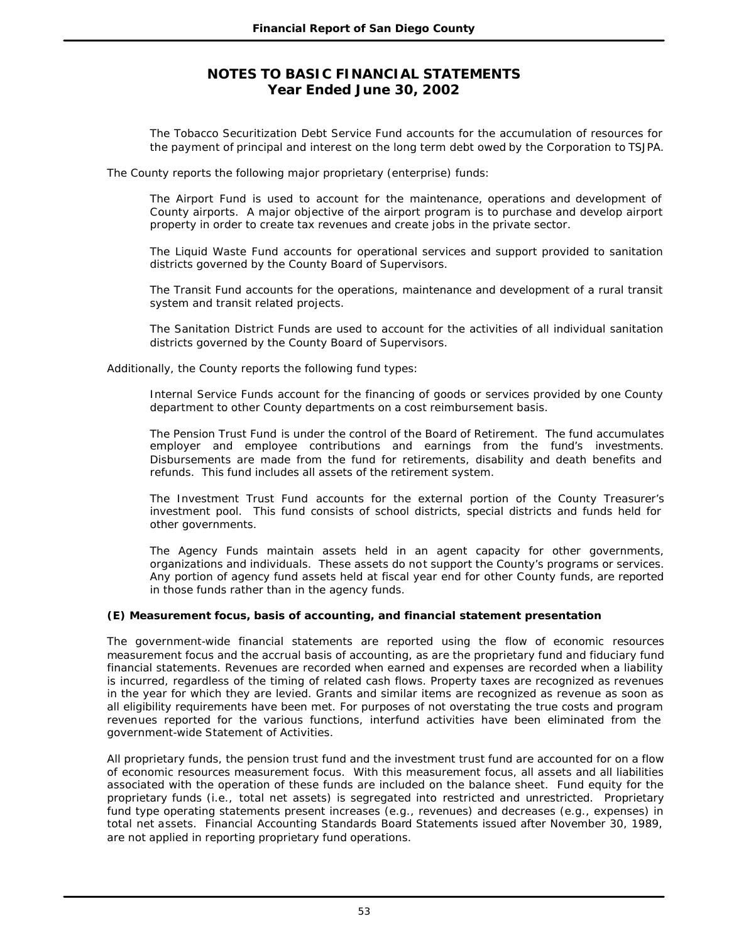The Tobacco Securitization Debt Service Fund accounts for the accumulation of resources for the payment of principal and interest on the long term debt owed by the Corporation to TSJPA.

The County reports the following major proprietary (enterprise) funds:

The Airport Fund is used to account for the maintenance, operations and development of County airports. A major objective of the airport program is to purchase and develop airport property in order to create tax revenues and create jobs in the private sector.

The Liquid Waste Fund accounts for operational services and support provided to sanitation districts governed by the County Board of Supervisors.

The Transit Fund accounts for the operations, maintenance and development of a rural transit system and transit related projects.

The Sanitation District Funds are used to account for the activities of all individual sanitation districts governed by the County Board of Supervisors.

Additionally, the County reports the following fund types:

Internal Service Funds account for the financing of goods or services provided by one County department to other County departments on a cost reimbursement basis.

The Pension Trust Fund is under the control of the Board of Retirement. The fund accumulates employer and employee contributions and earnings from the fund's investments. Disbursements are made from the fund for retirements, disability and death benefits and refunds. This fund includes all assets of the retirement system.

The Investment Trust Fund accounts for the external portion of the County Treasurer's investment pool. This fund consists of school districts, special districts and funds held for other governments.

The Agency Funds maintain assets held in an agent capacity for other governments, organizations and individuals. These assets do not support the County's programs or services. Any portion of agency fund assets held at fiscal year end for other County funds, are reported in those funds rather than in the agency funds.

### **(E) Measurement focus, basis of accounting, and financial statement presentation**

The government-wide financial statements are reported using the flow of economic resources measurement focus and the accrual basis of accounting, as are the proprietary fund and fiduciary fund financial statements. Revenues are recorded when earned and expenses are recorded when a liability is incurred, regardless of the timing of related cash flows. Property taxes are recognized as revenues in the year for which they are levied. Grants and similar items are recognized as revenue as soon as all eligibility requirements have been met. For purposes of not overstating the true costs and program revenues reported for the various functions, interfund activities have been eliminated from the government-wide Statement of Activities.

All proprietary funds, the pension trust fund and the investment trust fund are accounted for on a flow of economic resources measurement focus. With this measurement focus, all assets and all liabilities associated with the operation of these funds are included on the balance sheet. Fund equity for the proprietary funds (i.e., total net assets) is segregated into restricted and unrestricted. Proprietary fund type operating statements present increases (e.g., revenues) and decreases (e.g., expenses) in total net assets. Financial Accounting Standards Board Statements issued after November 30, 1989, are not applied in reporting proprietary fund operations.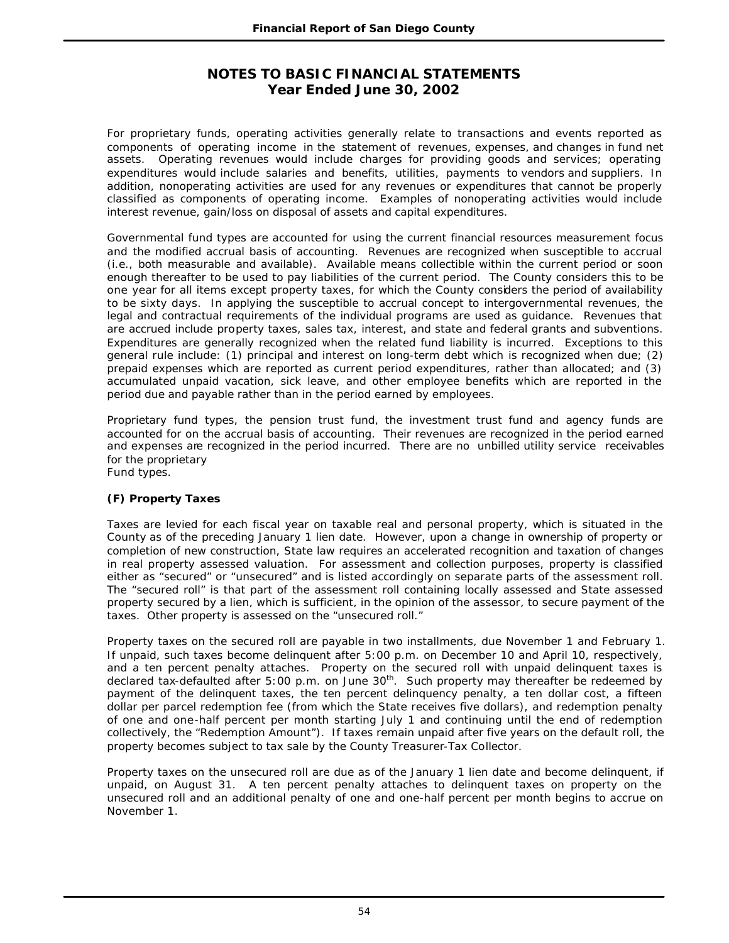For proprietary funds, operating activities generally relate to transactions and events reported as components of operating income in the statement of revenues, expenses, and changes in fund net assets. Operating revenues would include charges for providing goods and services; operating expenditures would include salaries and benefits, utilities, payments to vendors and suppliers. In addition, nonoperating activities are used for any revenues or expenditures that cannot be properly classified as components of operating income. Examples of nonoperating activities would include interest revenue, gain/loss on disposal of assets and capital expenditures.

Governmental fund types are accounted for using the current financial resources measurement focus and the modified accrual basis of accounting. Revenues are recognized when susceptible to accrual (i.e., both measurable and available). Available means collectible within the current period or soon enough thereafter to be used to pay liabilities of the current period. The County considers this to be one year for all items except property taxes, for which the County considers the period of availability to be sixty days. In applying the susceptible to accrual concept to intergovernmental revenues, the legal and contractual requirements of the individual programs are used as guidance. Revenues that are accrued include property taxes, sales tax, interest, and state and federal grants and subventions. Expenditures are generally recognized when the related fund liability is incurred. Exceptions to this general rule include: (1) principal and interest on long-term debt which is recognized when due; (2) prepaid expenses which are reported as current period expenditures, rather than allocated; and (3) accumulated unpaid vacation, sick leave, and other employee benefits which are reported in the period due and payable rather than in the period earned by employees.

Proprietary fund types, the pension trust fund, the investment trust fund and agency funds are accounted for on the accrual basis of accounting. Their revenues are recognized in the period earned and expenses are recognized in the period incurred. There are no unbilled utility service receivables for the proprietary Fund types.

## **(F) Property Taxes**

Taxes are levied for each fiscal year on taxable real and personal property, which is situated in the County as of the preceding January 1 lien date. However, upon a change in ownership of property or completion of new construction, State law requires an accelerated recognition and taxation of changes in real property assessed valuation. For assessment and collection purposes, property is classified either as "secured" or "unsecured" and is listed accordingly on separate parts of the assessment roll. The "secured roll" is that part of the assessment roll containing locally assessed and State assessed property secured by a lien, which is sufficient, in the opinion of the assessor, to secure payment of the taxes. Other property is assessed on the "unsecured roll."

Property taxes on the secured roll are payable in two installments, due November 1 and February 1. If unpaid, such taxes become delinquent after 5:00 p.m. on December 10 and April 10, respectively, and a ten percent penalty attaches. Property on the secured roll with unpaid delinquent taxes is declared tax-defaulted after 5:00 p.m. on June 30<sup>th</sup>. Such property may thereafter be redeemed by payment of the delinquent taxes, the ten percent delinquency penalty, a ten dollar cost, a fifteen dollar per parcel redemption fee (from which the State receives five dollars), and redemption penalty of one and one-half percent per month starting July 1 and continuing until the end of redemption collectively, the "Redemption Amount"). If taxes remain unpaid after five years on the default roll, the property becomes subject to tax sale by the County Treasurer-Tax Collector.

Property taxes on the unsecured roll are due as of the January 1 lien date and become delinquent, if unpaid, on August 31. A ten percent penalty attaches to delinquent taxes on property on the unsecured roll and an additional penalty of one and one-half percent per month begins to accrue on November 1.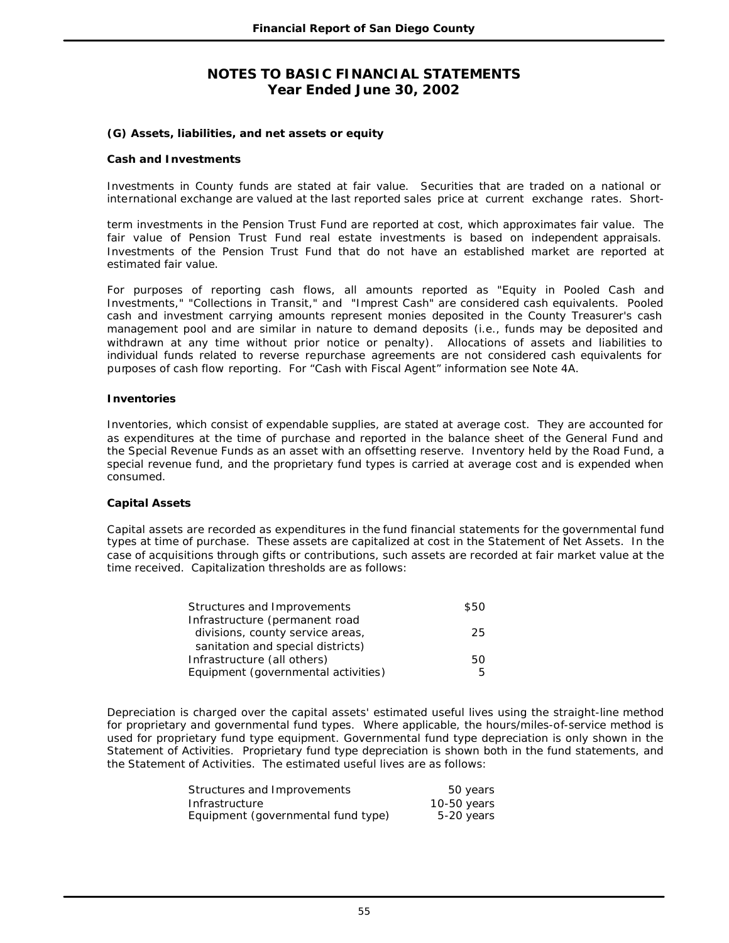### **(G) Assets, liabilities, and net assets or equity**

#### **Cash and Investments**

Investments in County funds are stated at fair value. Securities that are traded on a national or international exchange are valued at the last reported sales price at current exchange rates. Short-

term investments in the Pension Trust Fund are reported at cost, which approximates fair value. The fair value of Pension Trust Fund real estate investments is based on independent appraisals. Investments of the Pension Trust Fund that do not have an established market are reported at estimated fair value.

For purposes of reporting cash flows, all amounts reported as "Equity in Pooled Cash and Investments," "Collections in Transit," and "Imprest Cash" are considered cash equivalents. Pooled cash and investment carrying amounts represent monies deposited in the County Treasurer's cash management pool and are similar in nature to demand deposits (i.e., funds may be deposited and withdrawn at any time without prior notice or penalty). Allocations of assets and liabilities to individual funds related to reverse repurchase agreements are not considered cash equivalents for purposes of cash flow reporting. For "Cash with Fiscal Agent" information see Note 4A.

#### **Inventories**

Inventories, which consist of expendable supplies, are stated at average cost. They are accounted for as expenditures at the time of purchase and reported in the balance sheet of the General Fund and the Special Revenue Funds as an asset with an offsetting reserve. Inventory held by the Road Fund, a special revenue fund, and the proprietary fund types is carried at average cost and is expended when consumed.

### **Capital Assets**

Capital assets are recorded as expenditures in the fund financial statements for the governmental fund types at time of purchase. These assets are capitalized at cost in the Statement of Net Assets. In the case of acquisitions through gifts or contributions, such assets are recorded at fair market value at the time received. Capitalization thresholds are as follows:

| Structures and Improvements         | \$50 |
|-------------------------------------|------|
| Infrastructure (permanent road      |      |
| divisions, county service areas,    | 25   |
| sanitation and special districts)   |      |
| Infrastructure (all others)         | 50   |
| Equipment (governmental activities) | 5    |

Depreciation is charged over the capital assets' estimated useful lives using the straight-line method for proprietary and governmental fund types. Where applicable, the hours/miles-of-service method is used for proprietary fund type equipment. Governmental fund type depreciation is only shown in the Statement of Activities. Proprietary fund type depreciation is shown both in the fund statements, and the Statement of Activities. The estimated useful lives are as follows:

| Structures and Improvements        | 50 years    |
|------------------------------------|-------------|
| Infrastructure                     | 10-50 years |
| Equipment (governmental fund type) | 5-20 years  |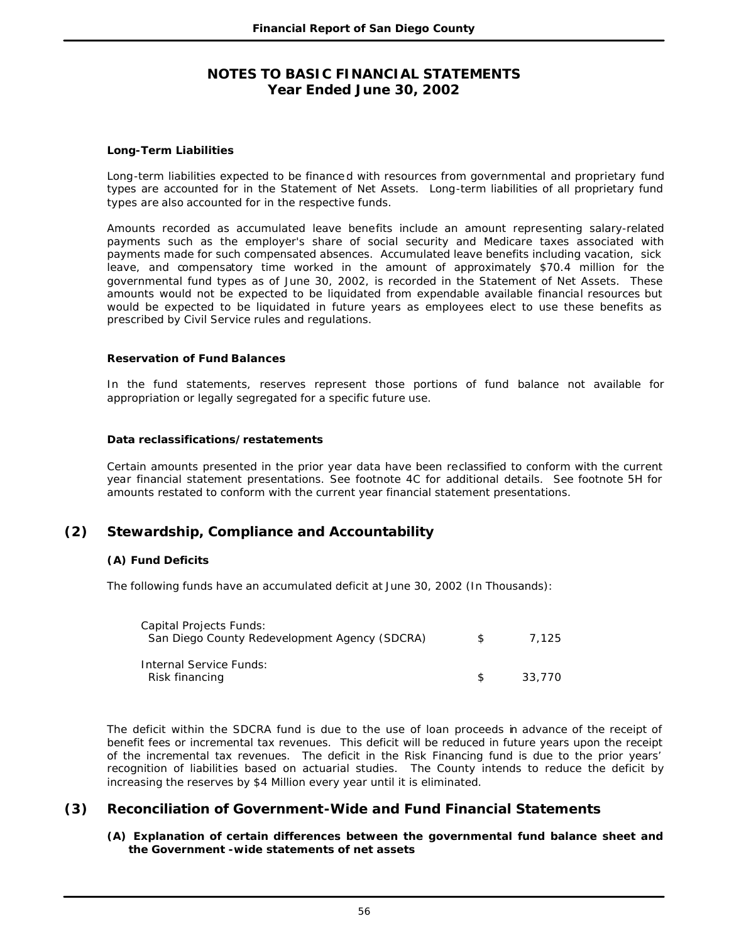### **Long-Term Liabilities**

Long-term liabilities expected to be finance d with resources from governmental and proprietary fund types are accounted for in the Statement of Net Assets. Long-term liabilities of all proprietary fund types are also accounted for in the respective funds.

Amounts recorded as accumulated leave benefits include an amount representing salary-related payments such as the employer's share of social security and Medicare taxes associated with payments made for such compensated absences. Accumulated leave benefits including vacation, sick leave, and compensatory time worked in the amount of approximately \$70.4 million for the governmental fund types as of June 30, 2002, is recorded in the Statement of Net Assets. These amounts would not be expected to be liquidated from expendable available financial resources but would be expected to be liquidated in future years as employees elect to use these benefits as prescribed by Civil Service rules and regulations.

#### **Reservation of Fund Balances**

In the fund statements, reserves represent those portions of fund balance not available for appropriation or legally segregated for a specific future use.

#### **Data reclassifications/restatements**

Certain amounts presented in the prior year data have been reclassified to conform with the current year financial statement presentations. See footnote 4C for additional details. See footnote 5H for amounts restated to conform with the current year financial statement presentations.

# **(2) Stewardship, Compliance and Accountability**

### **(A) Fund Deficits**

The following funds have an accumulated deficit at June 30, 2002 (In Thousands):

| Capital Projects Funds:<br>San Diego County Redevelopment Agency (SDCRA) | \$. | 7.125  |
|--------------------------------------------------------------------------|-----|--------|
| Internal Service Funds:<br>Risk financing                                | S.  | 33.770 |

The deficit within the SDCRA fund is due to the use of loan proceeds in advance of the receipt of benefit fees or incremental tax revenues. This deficit will be reduced in future years upon the receipt of the incremental tax revenues. The deficit in the Risk Financing fund is due to the prior years' recognition of liabilities based on actuarial studies. The County intends to reduce the deficit by increasing the reserves by \$4 Million every year until it is eliminated.

## **(3) Reconciliation of Government-Wide and Fund Financial Statements**

### **(A) Explanation of certain differences between the governmental fund balance sheet and the Government -wide statements of net assets**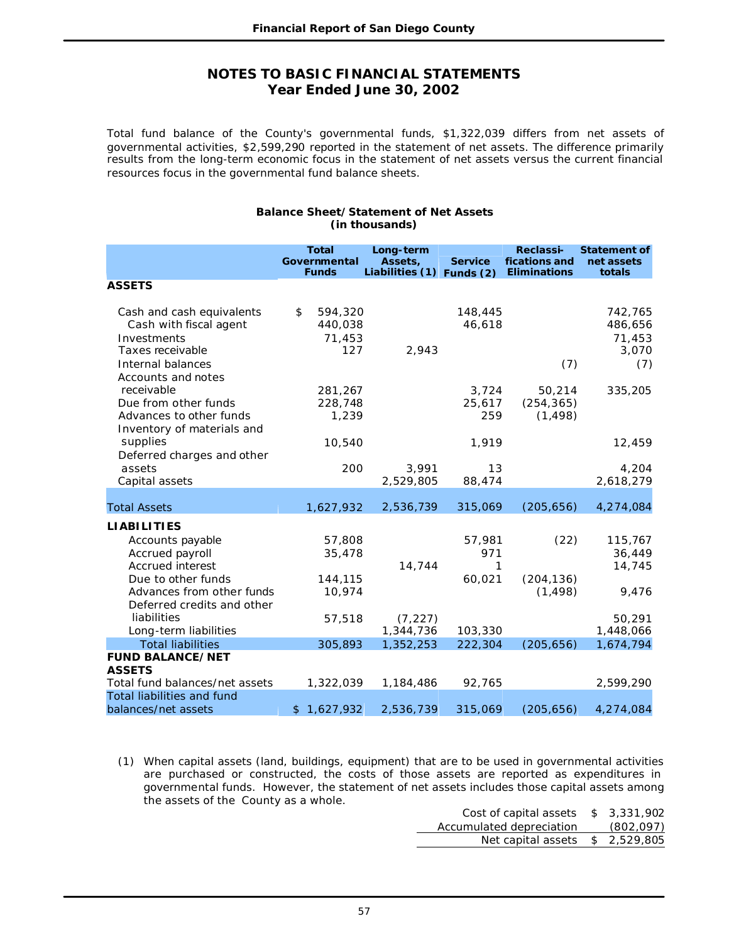Total fund balance of the County's governmental funds, \$1,322,039 differs from net assets of governmental activities, \$2,599,290 reported in the statement of net assets. The difference primarily results from the long-term economic focus in the statement of net assets versus the current financial resources focus in the governmental fund balance sheets.

|                                                                                                                   | <b>Total</b>                              | Long-term                 |                        | <b>Reclassi-</b>                 | <b>Statement of</b>                          |
|-------------------------------------------------------------------------------------------------------------------|-------------------------------------------|---------------------------|------------------------|----------------------------------|----------------------------------------------|
|                                                                                                                   | Governmental                              | Assets,                   | <b>Service</b>         | fications and                    | net assets                                   |
|                                                                                                                   | <b>Funds</b>                              | Liabilities (1) Funds (2) |                        | <b>Eliminations</b>              | totals                                       |
| <b>ASSETS</b>                                                                                                     |                                           |                           |                        |                                  |                                              |
| Cash and cash equivalents<br>Cash with fiscal agent<br>Investments<br>Taxes receivable<br>Internal balances       | 594,320<br>\$<br>440,038<br>71,453<br>127 | 2,943                     | 148,445<br>46,618      | (7)                              | 742,765<br>486,656<br>71,453<br>3,070<br>(7) |
| Accounts and notes<br>receivable<br>Due from other funds<br>Advances to other funds<br>Inventory of materials and | 281,267<br>228,748<br>1,239               |                           | 3,724<br>25,617<br>259 | 50,214<br>(254, 365)<br>(1, 498) | 335,205                                      |
| supplies<br>Deferred charges and other                                                                            | 10,540                                    |                           | 1,919                  |                                  | 12,459                                       |
| assets<br>Capital assets                                                                                          | 200                                       | 3,991<br>2,529,805        | 13<br>88,474           |                                  | 4,204<br>2,618,279                           |
| <b>Total Assets</b>                                                                                               | 1,627,932                                 | 2,536,739                 | 315,069                | (205, 656)                       | 4,274,084                                    |
|                                                                                                                   |                                           |                           |                        |                                  |                                              |
| <b>LIABILITIES</b><br>Accounts payable<br>Accrued payroll<br><b>Accrued interest</b>                              | 57,808<br>35,478                          | 14,744                    | 57,981<br>971<br>1     | (22)                             | 115,767<br>36,449<br>14,745                  |
| Due to other funds<br>Advances from other funds<br>Deferred credits and other                                     | 144,115<br>10,974                         |                           | 60,021                 | (204, 136)<br>(1, 498)           | 9,476                                        |
| liabilities<br>Long-term liabilities                                                                              | 57,518                                    | (7, 227)<br>1,344,736     | 103,330                |                                  | 50,291<br>1,448,066                          |
| <b>Total liabilities</b>                                                                                          | 305,893                                   | 1,352,253                 | 222,304                | (205, 656)                       | 1,674,794                                    |
| <b>FUND BALANCE/NET</b>                                                                                           |                                           |                           |                        |                                  |                                              |
| <b>ASSETS</b>                                                                                                     |                                           |                           |                        |                                  |                                              |
| Total fund balances/net assets                                                                                    | 1,322,039                                 | 1,184,486                 | 92,765                 |                                  | 2,599,290                                    |
| <b>Total liabilities and fund</b><br>balances/net assets                                                          | \$1,627,932                               | 2,536,739                 | 315,069                | (205, 656)                       | 4,274,084                                    |

#### **Balance Sheet/Statement of Net Assets (in thousands)**

(1) When capital assets (land, buildings, equipment) that are to be used in governmental activities are purchased or constructed, the costs of those assets are reported as expenditures in governmental funds. However, the statement of net assets includes those capital assets among the assets of the County as a whole.

| Cost of capital assets         | \$3,331,902 |
|--------------------------------|-------------|
| Accumulated depreciation       | (802, 097)  |
| Net capital assets \$2,529,805 |             |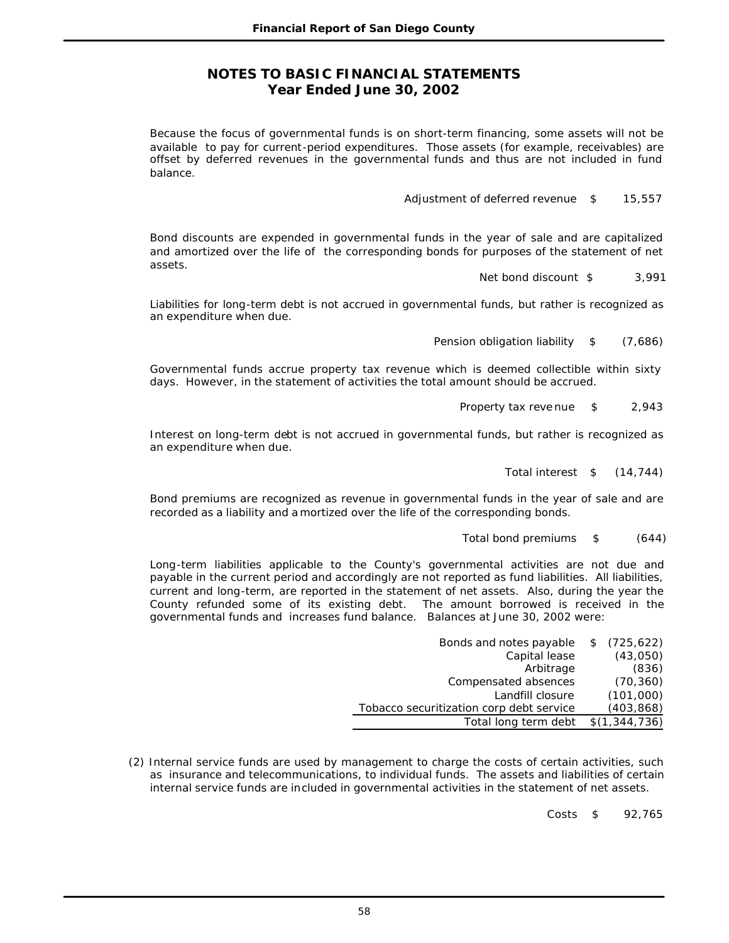Because the focus of governmental funds is on short-term financing, some assets will not be available to pay for current-period expenditures. Those assets (for example, receivables) are offset by deferred revenues in the governmental funds and thus are not included in fund balance.

Adjustment of deferred revenue  $$ 15,557$ 

Bond discounts are expended in governmental funds in the year of sale and are capitalized and amortized over the life of the corresponding bonds for purposes of the statement of net assets.

Net bond discount \$ 3,991

Liabilities for long-term debt is not accrued in governmental funds, but rather is recognized as an expenditure when due.

Pension obligation liability  $$$  (7,686)

Governmental funds accrue property tax revenue which is deemed collectible within sixty days. However, in the statement of activities the total amount should be accrued.

Property tax reve nue \$ 2,943

Interest on long-term debt is not accrued in governmental funds, but rather is recognized as an expenditure when due.

Total interest \$ (14,744)

Bond premiums are recognized as revenue in governmental funds in the year of sale and are recorded as a liability and a mortized over the life of the corresponding bonds.

Total bond premiums \$ (644)

Long-term liabilities applicable to the County's governmental activities are not due and payable in the current period and accordingly are not reported as fund liabilities. All liabilities, current and long-term, are reported in the statement of net assets. Also, during the year the County refunded some of its existing debt. The amount borrowed is received in the governmental funds and increases fund balance. Balances at June 30, 2002 were:

| Bonds and notes payable                  | (725, 622)    |
|------------------------------------------|---------------|
| Capital lease                            | (43,050)      |
| Arbitrage                                | (836)         |
| Compensated absences                     | (70, 360)     |
| Landfill closure                         | (101,000)     |
| Tobacco securitization corp debt service | (403, 868)    |
| Total long term debt                     | \$(1,344,736) |
|                                          |               |

(2) Internal service funds are used by management to charge the costs of certain activities, such as insurance and telecommunications, to individual funds. The assets and liabilities of certain internal service funds are included in governmental activities in the statement of net assets.

Costs \$ 92,765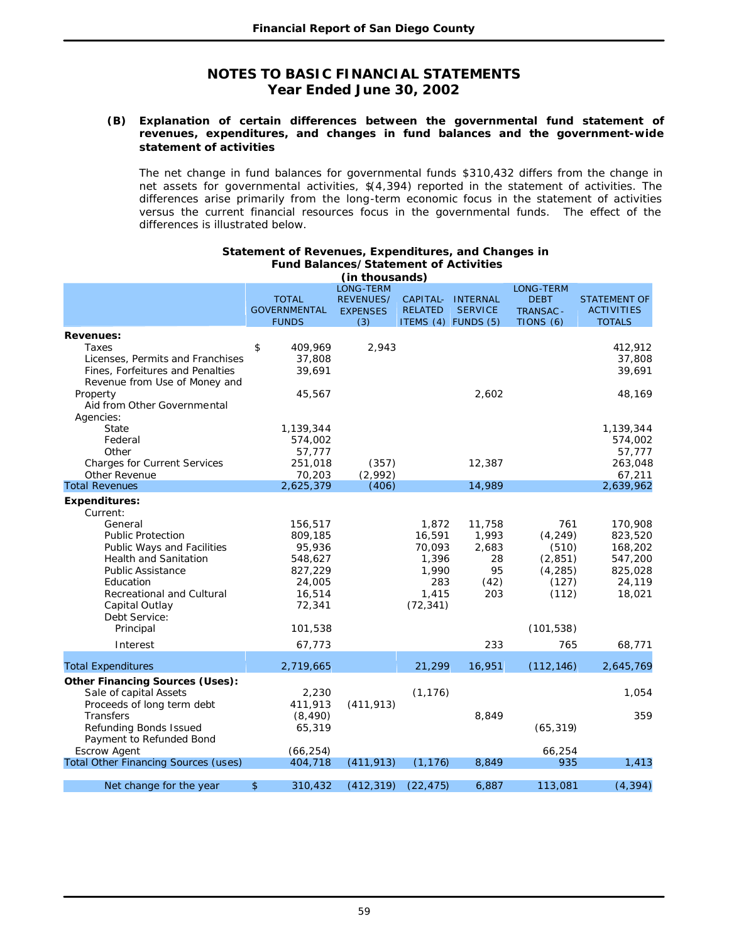#### **(B) Explanation of certain differences between the governmental fund statement of revenues, expenditures, and changes in fund balances and the government-wide statement of activities**

The net change in fund balances for governmental funds \$310,432 differs from the change in net assets for governmental activities, \$(4,394) reported in the statement of activities. The differences arise primarily from the long-term economic focus in the statement of activities versus the current financial resources focus in the governmental funds. The effect of the differences is illustrated below.

|                                             |                     | (in thousands)   |                |                     |                  |                     |
|---------------------------------------------|---------------------|------------------|----------------|---------------------|------------------|---------------------|
|                                             |                     | <b>LONG-TERM</b> |                |                     | <b>LONG-TERM</b> |                     |
|                                             | <b>TOTAL</b>        | <b>REVENUES/</b> | CAPITAL-       | <b>INTERNAL</b>     | <b>DEBT</b>      | <b>STATEMENT OF</b> |
|                                             | <b>GOVERNMENTAL</b> | <b>EXPENSES</b>  | <b>RELATED</b> | <b>SERVICE</b>      | <b>TRANSAC -</b> | <b>ACTIVITIES</b>   |
|                                             | <b>FUNDS</b>        | (3)              |                | ITEMS (4) FUNDS (5) | TIONS (6)        | <b>TOTALS</b>       |
| <b>Revenues:</b>                            |                     |                  |                |                     |                  |                     |
| Taxes                                       | \$<br>409,969       | 2,943            |                |                     |                  | 412,912             |
| Licenses, Permits and Franchises            | 37,808              |                  |                |                     |                  | 37,808              |
| Fines, Forfeitures and Penalties            | 39,691              |                  |                |                     |                  | 39,691              |
| Revenue from Use of Money and               |                     |                  |                |                     |                  |                     |
| Property                                    | 45,567              |                  |                | 2,602               |                  | 48,169              |
| Aid from Other Governmental                 |                     |                  |                |                     |                  |                     |
|                                             |                     |                  |                |                     |                  |                     |
| Agencies:                                   |                     |                  |                |                     |                  |                     |
| <b>State</b>                                | 1,139,344           |                  |                |                     |                  | 1,139,344           |
| Federal                                     | 574,002             |                  |                |                     |                  | 574,002             |
| Other                                       | 57,777              |                  |                |                     |                  | 57,777              |
| <b>Charges for Current Services</b>         | 251,018             | (357)            |                | 12,387              |                  | 263,048             |
| Other Revenue                               | 70,203              | (2,992)          |                |                     |                  | 67,211              |
| <b>Total Revenues</b>                       | 2,625,379           | (406)            |                | 14,989              |                  | 2,639,962           |
| <b>Expenditures:</b>                        |                     |                  |                |                     |                  |                     |
| Current:                                    |                     |                  |                |                     |                  |                     |
| General                                     | 156,517             |                  | 1,872          | 11,758              | 761              | 170,908             |
| <b>Public Protection</b>                    | 809,185             |                  | 16,591         | 1,993               | (4, 249)         | 823,520             |
| Public Ways and Facilities                  | 95,936              |                  | 70,093         | 2,683               | (510)            | 168,202             |
| <b>Health and Sanitation</b>                | 548,627             |                  | 1,396          | 28                  | (2, 851)         | 547,200             |
| Public Assistance                           | 827,229             |                  | 1,990          | 95                  | (4, 285)         | 825,028             |
| Education                                   | 24,005              |                  | 283            | (42)                | (127)            | 24,119              |
| Recreational and Cultural                   | 16,514              |                  | 1,415          | 203                 | (112)            | 18,021              |
| Capital Outlay                              | 72,341              |                  | (72, 341)      |                     |                  |                     |
| Debt Service:                               |                     |                  |                |                     |                  |                     |
| Principal                                   | 101,538             |                  |                |                     | (101, 538)       |                     |
|                                             |                     |                  |                |                     |                  |                     |
| Interest                                    | 67,773              |                  |                | 233                 | 765              | 68,771              |
| <b>Total Expenditures</b>                   | 2,719,665           |                  | 21,299         | 16,951              | (112, 146)       | 2,645,769           |
| <b>Other Financing Sources (Uses):</b>      |                     |                  |                |                     |                  |                     |
| Sale of capital Assets                      | 2,230               |                  | (1, 176)       |                     |                  | 1,054               |
| Proceeds of long term debt                  | 411,913             | (411, 913)       |                |                     |                  |                     |
| Transfers                                   | (8, 490)            |                  |                | 8,849               |                  | 359                 |
|                                             |                     |                  |                |                     |                  |                     |
| Refunding Bonds Issued                      | 65,319              |                  |                |                     | (65, 319)        |                     |
| Payment to Refunded Bond                    |                     |                  |                |                     |                  |                     |
| <b>Escrow Agent</b>                         | (66, 254)           |                  |                |                     | 66,254           |                     |
| <b>Total Other Financing Sources (uses)</b> | 404,718             | (411, 913)       | (1, 176)       | 8,849               | 935              | 1,413               |
| Net change for the year                     | \$<br>310,432       | (412, 319)       | (22, 475)      | 6,887               | 113,081          | (4, 394)            |
|                                             |                     |                  |                |                     |                  |                     |

#### **Statement of Revenues, Expenditures, and Changes in Fund Balances/Statement of Activities**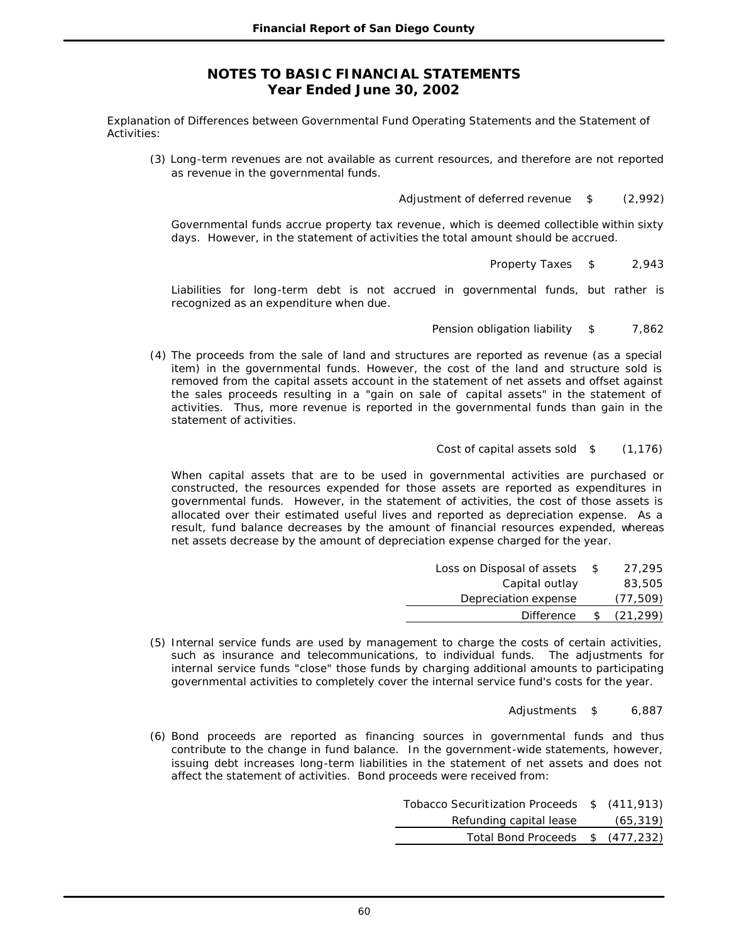Explanation of Differences between Governmental Fund Operating Statements and the Statement of Activities:

(3) Long-term revenues are not available as current resources, and therefore are not reported as revenue in the governmental funds.

Adjustment of deferred revenue \$ (2,992)

Governmental funds accrue property tax revenue, which is deemed collectible within sixty days. However, in the statement of activities the total amount should be accrued.

Property Taxes \$ 2,943

Liabilities for long-term debt is not accrued in governmental funds, but rather is recognized as an expenditure when due.

Pension obligation liability \$ 7,862

(4) The proceeds from the sale of land and structures are reported as revenue (as a special item) in the governmental funds. However, the cost of the land and structure sold is removed from the capital assets account in the statement of net assets and offset against the sales proceeds resulting in a "gain on sale of capital assets" in the statement of activities. Thus, more revenue is reported in the governmental funds than gain in the statement of activities.

Cost of capital assets sold \$ (1,176)

When capital assets that are to be used in governmental activities are purchased or constructed, the resources expended for those assets are reported as expenditures in governmental funds. However, in the statement of activities, the cost of those assets is allocated over their estimated useful lives and reported as depreciation expense. As a result, fund balance decreases by the amount of financial resources expended, whereas net assets decrease by the amount of depreciation expense charged for the year.

| Loss on Disposal of assets | -S | 27.295    |
|----------------------------|----|-----------|
| Capital outlay             |    | 83,505    |
| Depreciation expense       |    | (77, 509) |
| <b>Difference</b>          | £. | (21, 299) |

- (5) Internal service funds are used by management to charge the costs of certain activities, such as insurance and telecommunications, to individual funds. The adjustments for internal service funds "close" those funds by charging additional amounts to participating governmental activities to completely cover the internal service fund's costs for the year.
	- Adjustments \$ 6,887
- (6) Bond proceeds are reported as financing sources in governmental funds and thus contribute to the change in fund balance. In the government-wide statements, however, issuing debt increases long-term liabilities in the statement of net assets and does not affect the statement of activities. Bond proceeds were received from:

| Tobacco Securitization Proceeds \$ (411,913) |           |
|----------------------------------------------|-----------|
| Refunding capital lease                      | (65, 319) |
| Total Bond Proceeds \$ (477,232)             |           |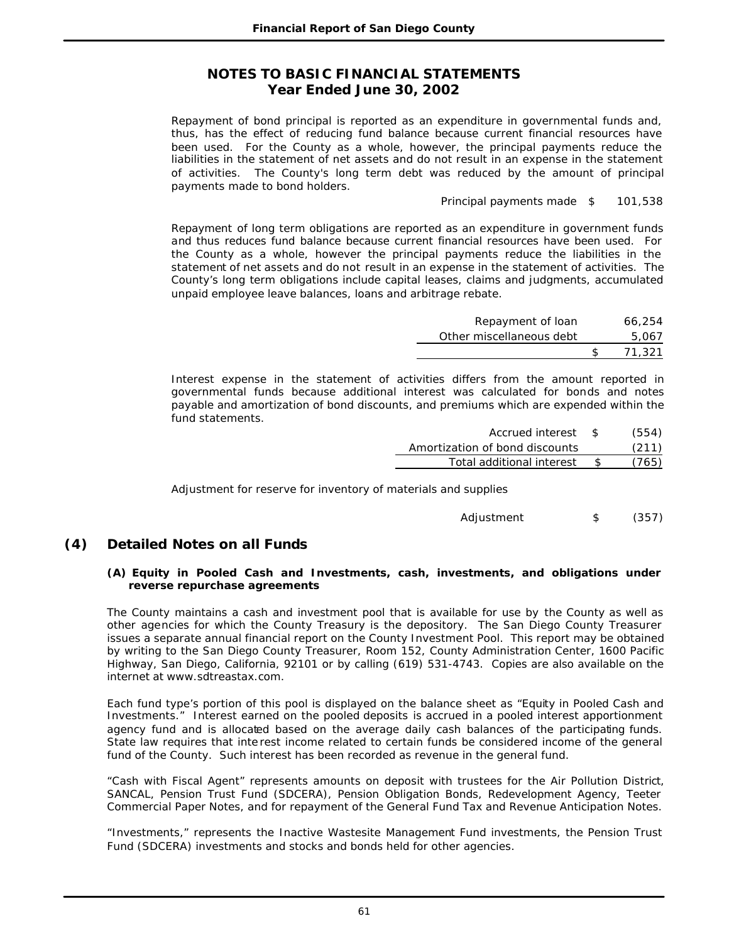Repayment of bond principal is reported as an expenditure in governmental funds and, thus, has the effect of reducing fund balance because current financial resources have been used. For the County as a whole, however, the principal payments reduce the liabilities in the statement of net assets and do not result in an expense in the statement of activities. The County's long term debt was reduced by the amount of principal payments made to bond holders.

Principal payments made \$ 101,538

Repayment of long term obligations are reported as an expenditure in government funds and thus reduces fund balance because current financial resources have been used. For the County as a whole, however the principal payments reduce the liabilities in the statement of net assets and do not result in an expense in the statement of activities. The County's long term obligations include capital leases, claims and judgments, accumulated unpaid employee leave balances, loans and arbitrage rebate.

| Repayment of loan        |     | 66.254 |
|--------------------------|-----|--------|
| Other miscellaneous debt |     | 5,067  |
|                          | -SS | 71,321 |

Interest expense in the statement of activities differs from the amount reported in governmental funds because additional interest was calculated for bonds and notes payable and amortization of bond discounts, and premiums which are expended within the fund statements.

| Accrued interest               | -SS | (554) |
|--------------------------------|-----|-------|
| Amortization of bond discounts |     | (211) |
| Total additional interest      |     | (765) |
|                                |     |       |

Adjustment for reserve for inventory of materials and supplies

```
Adjustment $ (357)
```
# **(4) Detailed Notes on all Funds**

#### **(A) Equity in Pooled Cash and Investments, cash, investments, and obligations under reverse repurchase agreements**

The County maintains a cash and investment pool that is available for use by the County as well as other agencies for which the County Treasury is the depository. The San Diego County Treasurer issues a separate annual financial report on the County Investment Pool. This report may be obtained by writing to the San Diego County Treasurer, Room 152, County Administration Center, 1600 Pacific Highway, San Diego, California, 92101 or by calling (619) 531-4743. Copies are also available on the internet at www.sdtreastax.com.

Each fund type's portion of this pool is displayed on the balance sheet as "Equity in Pooled Cash and Investments." Interest earned on the pooled deposits is accrued in a pooled interest apportionment agency fund and is allocated based on the average daily cash balances of the participating funds. State law requires that inte rest income related to certain funds be considered income of the general fund of the County. Such interest has been recorded as revenue in the general fund.

"Cash with Fiscal Agent" represents amounts on deposit with trustees for the Air Pollution District, SANCAL, Pension Trust Fund (SDCERA), Pension Obligation Bonds, Redevelopment Agency, Teeter Commercial Paper Notes, and for repayment of the General Fund Tax and Revenue Anticipation Notes.

"Investments," represents the Inactive Wastesite Management Fund investments, the Pension Trust Fund (SDCERA) investments and stocks and bonds held for other agencies.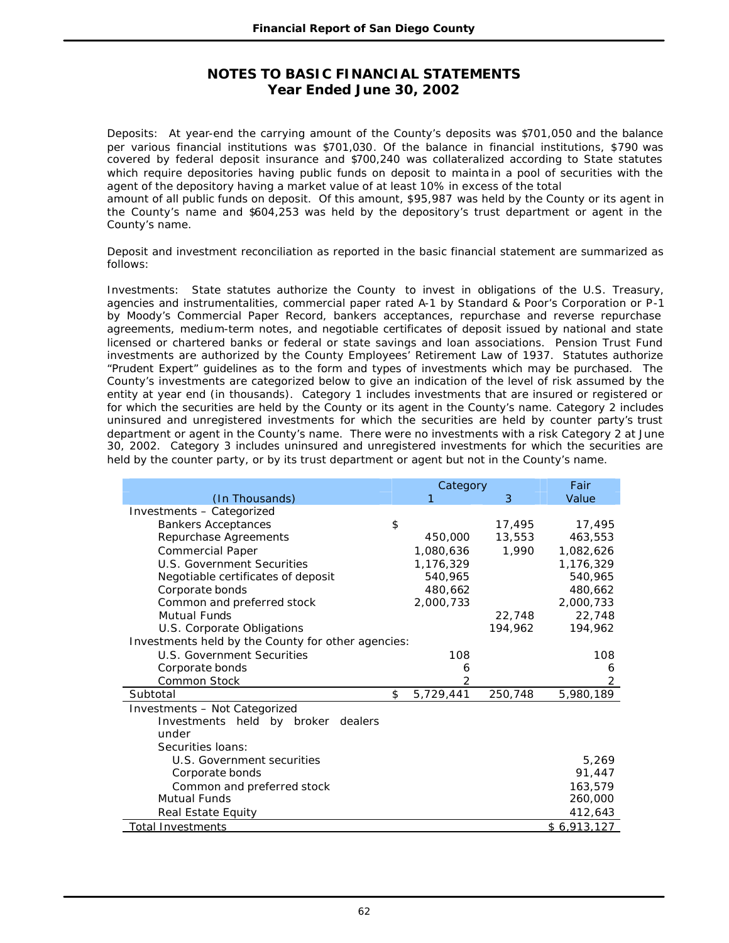Deposits: At year-end the carrying amount of the County's deposits was \$701,050 and the balance per various financial institutions was \$701,030. Of the balance in financial institutions, \$790 was covered by federal deposit insurance and \$700,240 was collateralized according to State statutes which require depositories having public funds on deposit to mainta in a pool of securities with the agent of the depository having a market value of at least 10% in excess of the total

amount of all public funds on deposit. Of this amount, \$95,987 was held by the County or its agent in the County's name and \$604,253 was held by the depository's trust department or agent in the County's name.

Deposit and investment reconciliation as reported in the basic financial statement are summarized as follows:

Investments: State statutes authorize the County to invest in obligations of the U.S. Treasury, agencies and instrumentalities, commercial paper rated A-1 by Standard & Poor's Corporation or P-1 by Moody's Commercial Paper Record, bankers acceptances, repurchase and reverse repurchase agreements, medium-term notes, and negotiable certificates of deposit issued by national and state licensed or chartered banks or federal or state savings and loan associations. Pension Trust Fund investments are authorized by the County Employees' Retirement Law of 1937. Statutes authorize "Prudent Expert" guidelines as to the form and types of investments which may be purchased. The County's investments are categorized below to give an indication of the level of risk assumed by the entity at year end (in thousands). Category 1 includes investments that are insured or registered or for which the securities are held by the County or its agent in the County's name. Category 2 includes uninsured and unregistered investments for which the securities are held by counter party's trust department or agent in the County's name. There were no investments with a risk Category 2 at June 30, 2002. Category 3 includes uninsured and unregistered investments for which the securities are held by the counter party, or by its trust department or agent but not in the County's name.

|                                                    | Category |                |         | Fair        |
|----------------------------------------------------|----------|----------------|---------|-------------|
| (In Thousands)                                     |          | 1              | 3       | Value       |
| Investments - Categorized                          |          |                |         |             |
| <b>Bankers Acceptances</b>                         | \$       |                | 17,495  | 17,495      |
| Repurchase Agreements                              |          | 450,000        | 13,553  | 463,553     |
| <b>Commercial Paper</b>                            |          | 1,080,636      | 1,990   | 1,082,626   |
| <b>U.S. Government Securities</b>                  |          | 1,176,329      |         | 1,176,329   |
| Negotiable certificates of deposit                 |          | 540,965        |         | 540,965     |
| Corporate bonds                                    |          | 480,662        |         | 480,662     |
| Common and preferred stock                         |          | 2,000,733      |         | 2,000,733   |
| Mutual Funds                                       |          |                | 22,748  | 22,748      |
| U.S. Corporate Obligations                         |          |                | 194,962 | 194,962     |
| Investments held by the County for other agencies: |          |                |         |             |
| <b>U.S. Government Securities</b>                  |          | 108            |         | 108         |
| Corporate bonds                                    |          | 6              |         | 6           |
| Common Stock                                       |          | $\overline{2}$ |         | 2           |
| Subtotal                                           | \$       | 5,729,441      | 250,748 | 5,980,189   |
| Investments - Not Categorized                      |          |                |         |             |
| Investments held by broker<br>dealers              |          |                |         |             |
| under                                              |          |                |         |             |
| Securities Ioans:                                  |          |                |         |             |
| U.S. Government securities                         |          |                |         | 5,269       |
| Corporate bonds                                    |          |                |         | 91,447      |
| Common and preferred stock                         |          |                |         | 163,579     |
| <b>Mutual Funds</b>                                |          |                |         | 260,000     |
| Real Estate Equity                                 |          |                |         | 412,643     |
| Total Investments                                  |          |                |         | \$6,913,127 |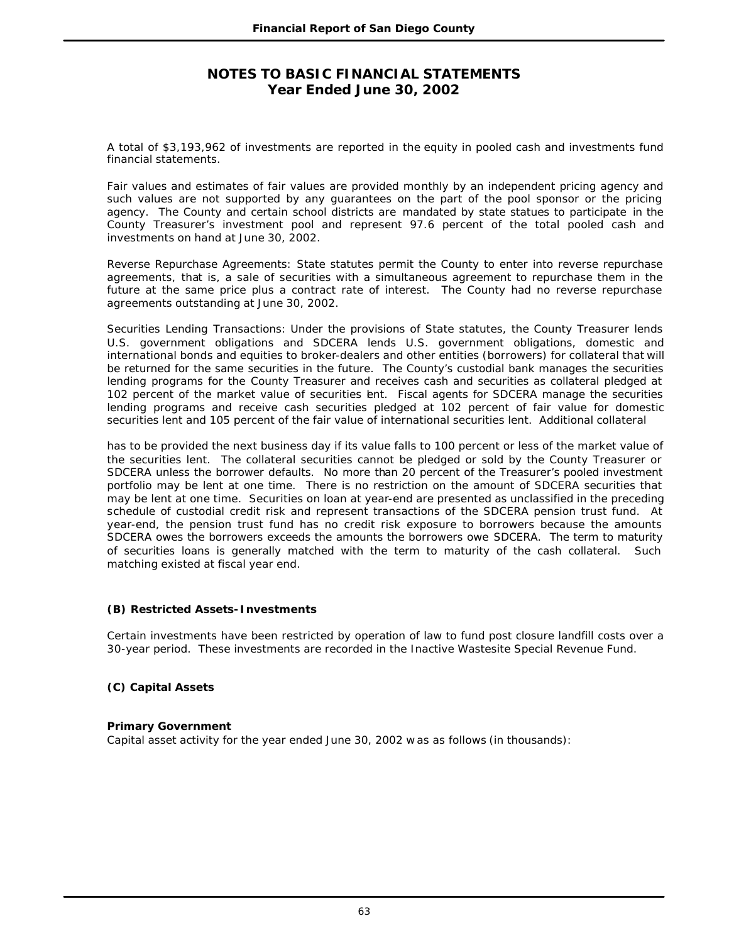A total of \$3,193,962 of investments are reported in the equity in pooled cash and investments fund financial statements.

Fair values and estimates of fair values are provided monthly by an independent pricing agency and such values are not supported by any guarantees on the part of the pool sponsor or the pricing agency. The County and certain school districts are mandated by state statues to participate in the County Treasurer's investment pool and represent 97.6 percent of the total pooled cash and investments on hand at June 30, 2002.

Reverse Repurchase Agreements: State statutes permit the County to enter into reverse repurchase agreements, that is, a sale of securities with a simultaneous agreement to repurchase them in the future at the same price plus a contract rate of interest. The County had no reverse repurchase agreements outstanding at June 30, 2002.

Securities Lending Transactions: Under the provisions of State statutes, the County Treasurer lends U.S. government obligations and SDCERA lends U.S. government obligations, domestic and international bonds and equities to broker-dealers and other entities (borrowers) for collateral that will be returned for the same securities in the future. The County's custodial bank manages the securities lending programs for the County Treasurer and receives cash and securities as collateral pledged at 102 percent of the market value of securities ent. Fiscal agents for SDCERA manage the securities lending programs and receive cash securities pledged at 102 percent of fair value for domestic securities lent and 105 percent of the fair value of international securities lent. Additional collateral

has to be provided the next business day if its value falls to 100 percent or less of the market value of the securities lent. The collateral securities cannot be pledged or sold by the County Treasurer or SDCERA unless the borrower defaults. No more than 20 percent of the Treasurer's pooled investment portfolio may be lent at one time. There is no restriction on the amount of SDCERA securities that may be lent at one time. Securities on loan at year-end are presented as unclassified in the preceding schedule of custodial credit risk and represent transactions of the SDCERA pension trust fund. At year-end, the pension trust fund has no credit risk exposure to borrowers because the amounts SDCERA owes the borrowers exceeds the amounts the borrowers owe SDCERA. The term to maturity of securities loans is generally matched with the term to maturity of the cash collateral. Such matching existed at fiscal year end.

### **(B) Restricted Assets-Investments**

Certain investments have been restricted by operation of law to fund post closure landfill costs over a 30-year period. These investments are recorded in the Inactive Wastesite Special Revenue Fund.

## **(C) Capital Assets**

### **Primary Government**

Capital asset activity for the year ended June 30, 2002 w as as follows (in thousands):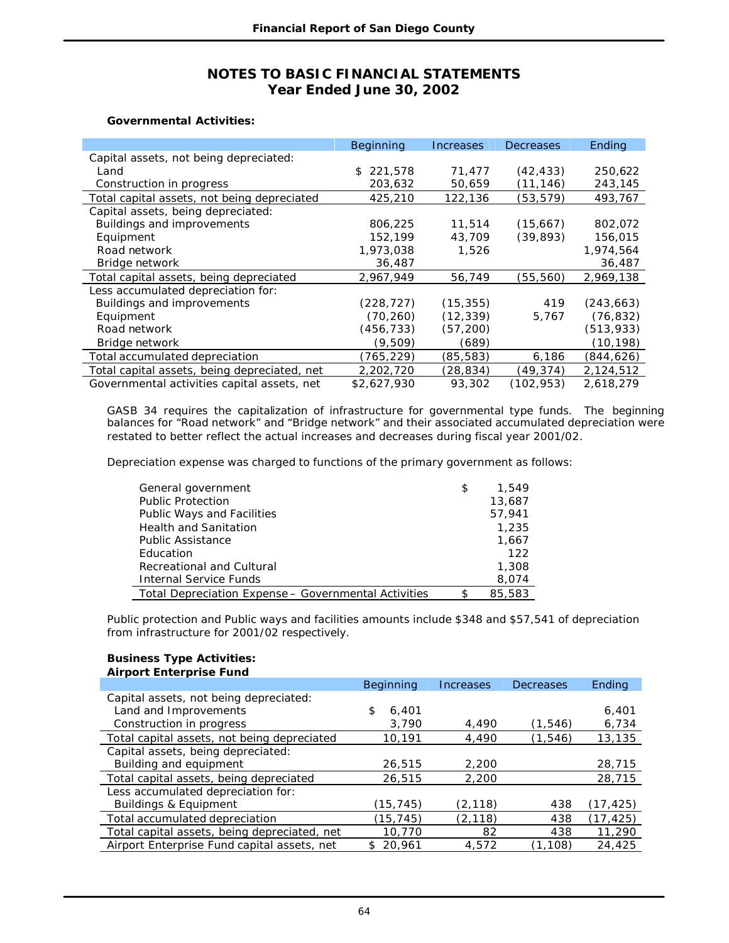#### **Governmental Activities:**

|                                              | Beginning   | Increases | <b>Decreases</b> | Ending     |
|----------------------------------------------|-------------|-----------|------------------|------------|
| Capital assets, not being depreciated:       |             |           |                  |            |
| Land                                         | \$221.578   | 71.477    | (42,433)         | 250.622    |
| Construction in progress                     | 203,632     | 50,659    | (11, 146)        | 243,145    |
| Total capital assets, not being depreciated  | 425,210     | 122,136   | (53, 579)        | 493,767    |
| Capital assets, being depreciated:           |             |           |                  |            |
| Buildings and improvements                   | 806,225     | 11,514    | (15,667)         | 802,072    |
| Equipment                                    | 152,199     | 43,709    | (39, 893)        | 156,015    |
| Road network                                 | 1,973,038   | 1,526     |                  | 1,974,564  |
| Bridge network                               | 36,487      |           |                  | 36,487     |
| Total capital assets, being depreciated      | 2,967,949   | 56,749    | (55,560)         | 2,969,138  |
| Less accumulated depreciation for:           |             |           |                  |            |
| Buildings and improvements                   | (228, 727)  | (15, 355) | 419              | (243, 663) |
| Equipment                                    | (70, 260)   | (12, 339) | 5,767            | (76, 832)  |
| Road network                                 | (456, 733)  | (57, 200) |                  | (513, 933) |
| Bridge network                               | (9, 509)    | (689)     |                  | (10, 198)  |
| Total accumulated depreciation               | (765, 229)  | (85, 583) | 6,186            | (844, 626) |
| Total capital assets, being depreciated, net | 2,202,720   | (28, 834) | (49, 374)        | 2,124,512  |
| Governmental activities capital assets, net  | \$2,627,930 | 93,302    | (102, 953)       | 2,618,279  |

GASB 34 requires the capitalization of infrastructure for governmental type funds. The beginning balances for "Road network" and "Bridge network" and their associated accumulated depreciation were restated to better reflect the actual increases and decreases during fiscal year 2001/02.

Depreciation expense was charged to functions of the primary government as follows:

| General government                                   | \$<br>1,549 |
|------------------------------------------------------|-------------|
| <b>Public Protection</b>                             | 13,687      |
| Public Ways and Facilities                           | 57,941      |
| <b>Health and Sanitation</b>                         | 1,235       |
| <b>Public Assistance</b>                             | 1,667       |
| Education                                            | 122         |
| Recreational and Cultural                            | 1,308       |
| <b>Internal Service Funds</b>                        | 8,074       |
| Total Depreciation Expense - Governmental Activities | 85,583      |

Public protection and Public ways and facilities amounts include \$348 and \$57,541 of depreciation from infrastructure for 2001/02 respectively.

#### **Business Type Activities: Airport Enterprise Fund**

| All port Effer prise Fund                    |               |                  |                  |               |
|----------------------------------------------|---------------|------------------|------------------|---------------|
|                                              | Beginning     | <b>Increases</b> | <b>Decreases</b> | <b>Ending</b> |
| Capital assets, not being depreciated:       |               |                  |                  |               |
| Land and Improvements                        | \$<br>6,401   |                  |                  | 6,401         |
| Construction in progress                     | 3,790         | 4,490            | (1, 546)         | 6,734         |
| Total capital assets, not being depreciated  | 10,191        | 4,490            | (1, 546)         | 13,135        |
| Capital assets, being depreciated:           |               |                  |                  |               |
| Building and equipment                       | 26,515        | 2,200            |                  | 28,715        |
| Total capital assets, being depreciated      | 26,515        | 2,200            |                  | 28,715        |
| Less accumulated depreciation for:           |               |                  |                  |               |
| Buildings & Equipment                        | (15, 745)     | (2, 118)         | 438              | (17, 425)     |
| Total accumulated depreciation               | (15,745)      | (2, 118)         | 438              | (17, 425)     |
| Total capital assets, being depreciated, net | 10,770        | 82               | 438              | 11,290        |
| Airport Enterprise Fund capital assets, net  | 20,961<br>\$. | 4,572            | .108)<br>้1      | 24,425        |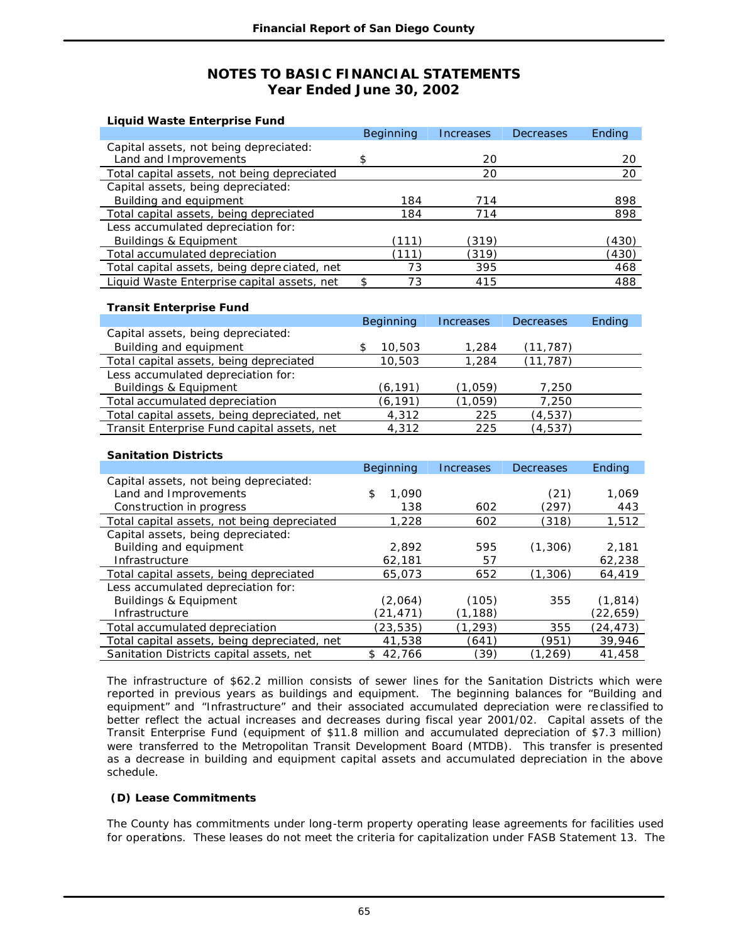| <b>Liquid Waste Enterprise Fund</b>          |           |           |           |        |
|----------------------------------------------|-----------|-----------|-----------|--------|
|                                              | Beginning | Increases | Decreases | Ending |
| Capital assets, not being depreciated:       |           |           |           |        |
| Land and Improvements                        | \$        | 20        |           | 20     |
| Total capital assets, not being depreciated  |           | 20        |           | 20     |
| Capital assets, being depreciated:           |           |           |           |        |
| Building and equipment                       | 184       | 714       |           | 898    |
| Total capital assets, being depreciated      | 184       | 714       |           | 898    |
| Less accumulated depreciation for:           |           |           |           |        |
| Buildings & Equipment                        | (111)     | (319)     |           | (430)  |
| Total accumulated depreciation               | (111)     | (319)     |           | (430)  |
| Total capital assets, being depreciated, net | 73        | 395       |           | 468    |
| Liquid Waste Enterprise capital assets, net  | 73<br>\$  | 415       |           | 488    |

### **Transit Enterprise Fund**

|                                              | Beginning | <b>Increases</b> | <b>Decreases</b> | Ending |
|----------------------------------------------|-----------|------------------|------------------|--------|
| Capital assets, being depreciated:           |           |                  |                  |        |
| Building and equipment                       | 10,503    | 1,284            | (11, 787)        |        |
| Total capital assets, being depreciated      | 10,503    | 1,284            | (11, 787)        |        |
| Less accumulated depreciation for:           |           |                  |                  |        |
| <b>Buildings &amp; Equipment</b>             | (6,191)   | (1,059)          | 7,250            |        |
| Total accumulated depreciation               | (6,191)   | (1,059)          | 7,250            |        |
| Total capital assets, being depreciated, net | 4,312     | 225              | (4, 537)         |        |
| Transit Enterprise Fund capital assets, net  | 4,312     | 225              | (4, 537)         |        |

### **Sanitation Districts**

|                                              | <b>Beginning</b> | <b>Increases</b> | Decreases | Ending    |
|----------------------------------------------|------------------|------------------|-----------|-----------|
| Capital assets, not being depreciated:       |                  |                  |           |           |
| Land and Improvements                        | 1,090<br>\$      |                  | (21)      | 1,069     |
| Construction in progress                     | 138              | 602              | (297)     | 443       |
| Total capital assets, not being depreciated  | 1,228            | 602              | (318)     | 1,512     |
| Capital assets, being depreciated:           |                  |                  |           |           |
| Building and equipment                       | 2,892            | 595              | (1,306)   | 2,181     |
| Infrastructure                               | 62,181           | 57               |           | 62,238    |
| Total capital assets, being depreciated      | 65,073           | 652              | (1,306)   | 64,419    |
| Less accumulated depreciation for:           |                  |                  |           |           |
| <b>Buildings &amp; Equipment</b>             | (2.064)          | (105)            | 355       | (1, 814)  |
| Infrastructure                               | (21, 471)        | (1,188)          |           | (22,659)  |
| Total accumulated depreciation               | (23,535)         | (1,293)          | 355       | (24, 473) |
| Total capital assets, being depreciated, net | 41,538           | (641)            | (951)     | 39,946    |
| Sanitation Districts capital assets, net     | 42,766           | (39)             | (1.269)   | 41,458    |

The infrastructure of \$62.2 million consists of sewer lines for the Sanitation Districts which were reported in previous years as buildings and equipment. The beginning balances for "Building and equipment" and "Infrastructure" and their associated accumulated depreciation were re classified to better reflect the actual increases and decreases during fiscal year 2001/02. Capital assets of the Transit Enterprise Fund (equipment of \$11.8 million and accumulated depreciation of \$7.3 million) were transferred to the Metropolitan Transit Development Board (MTDB). This transfer is presented as a decrease in building and equipment capital assets and accumulated depreciation in the above schedule.

### **(D) Lease Commitments**

The County has commitments under long-term property operating lease agreements for facilities used for operations. These leases do not meet the criteria for capitalization under FASB Statement 13. The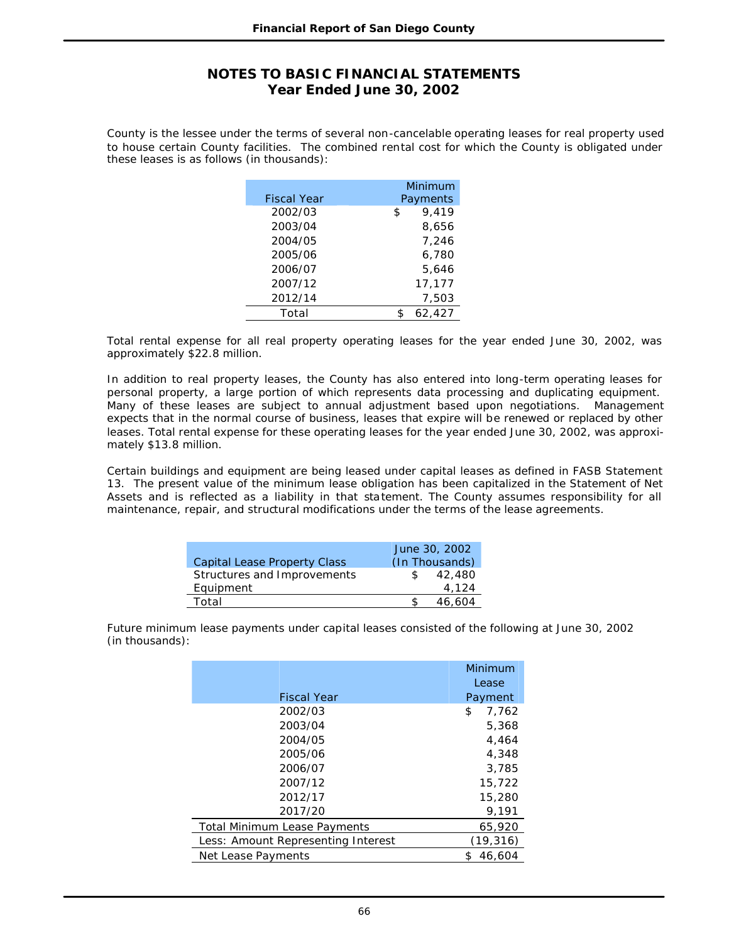County is the lessee under the terms of several non-cancelable operating leases for real property used to house certain County facilities. The combined rental cost for which the County is obligated under these leases is as follows (in thousands):

|                    | Minimum     |
|--------------------|-------------|
| <b>Fiscal Year</b> | Payments    |
| 2002/03            | 9.419<br>\$ |
| 2003/04            | 8,656       |
| 2004/05            | 7.246       |
| 2005/06            | 6.780       |
| 2006/07            | 5.646       |
| 2007/12            | 17,177      |
| 2012/14            | 7,503       |
| Total              | 62,427      |

Total rental expense for all real property operating leases for the year ended June 30, 2002, was approximately \$22.8 million.

In addition to real property leases, the County has also entered into long-term operating leases for personal property, a large portion of which represents data processing and duplicating equipment. Many of these leases are subject to annual adjustment based upon negotiations. Management expects that in the normal course of business, leases that expire will be renewed or replaced by other leases. Total rental expense for these operating leases for the year ended June 30, 2002, was approximately \$13.8 million.

Certain buildings and equipment are being leased under capital leases as defined in FASB Statement 13. The present value of the minimum lease obligation has been capitalized in the Statement of Net Assets and is reflected as a liability in that statement. The County assumes responsibility for all maintenance, repair, and structural modifications under the terms of the lease agreements.

|                                     | June 30, 2002  |
|-------------------------------------|----------------|
| <b>Capital Lease Property Class</b> | (In Thousands) |
| Structures and Improvements         | 42,480         |
| Equipment                           | 4.124          |
| Total                               | 46,604         |

Future minimum lease payments under capital leases consisted of the following at June 30, 2002 (in thousands):

|                                     | Minimum      |  |
|-------------------------------------|--------------|--|
|                                     | Lease        |  |
| <b>Fiscal Year</b>                  | Payment      |  |
| 2002/03                             | \$<br>7,762  |  |
| 2003/04                             | 5,368        |  |
| 2004/05                             | 4,464        |  |
| 2005/06                             | 4,348        |  |
| 2006/07                             | 3,785        |  |
| 2007/12                             | 15,722       |  |
| 2012/17                             | 15,280       |  |
| 2017/20                             | 9,191        |  |
| <b>Total Minimum Lease Payments</b> | 65,920       |  |
| Less: Amount Representing Interest  | (19, 316)    |  |
| Net Lease Payments                  | 46.604<br>\$ |  |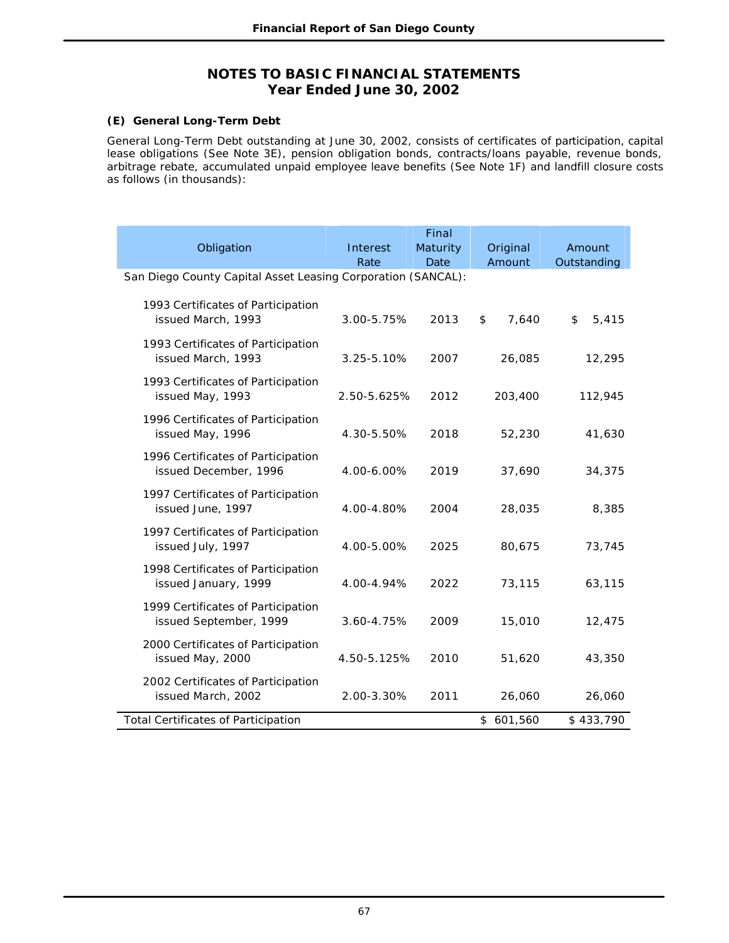## **(E) General Long-Term Debt**

General Long-Term Debt outstanding at June 30, 2002, consists of certificates of participation, capital lease obligations (See Note 3E), pension obligation bonds, contracts/loans payable, revenue bonds, arbitrage rebate, accumulated unpaid employee leave benefits (See Note 1F) and landfill closure costs as follows (in thousands):

|                                                              |             | Final    |             |             |
|--------------------------------------------------------------|-------------|----------|-------------|-------------|
| Obligation                                                   | Interest    | Maturity | Original    | Amount      |
|                                                              | Rate        | Date     | Amount      | Outstanding |
| San Diego County Capital Asset Leasing Corporation (SANCAL): |             |          |             |             |
| 1993 Certificates of Participation<br>issued March, 1993     | 3.00-5.75%  | 2013     | 7,640<br>\$ | \$<br>5,415 |
| 1993 Certificates of Participation<br>issued March, 1993     | 3.25-5.10%  | 2007     | 26,085      | 12,295      |
| 1993 Certificates of Participation<br>issued May, 1993       | 2.50-5.625% | 2012     | 203,400     | 112,945     |
| 1996 Certificates of Participation<br>issued May, 1996       | 4.30-5.50%  | 2018     | 52,230      | 41,630      |
| 1996 Certificates of Participation<br>issued December, 1996  | 4.00-6.00%  | 2019     | 37,690      | 34,375      |
| 1997 Certificates of Participation<br>issued June, 1997      | 4.00-4.80%  | 2004     | 28,035      | 8,385       |
| 1997 Certificates of Participation<br>issued July, 1997      | 4.00-5.00%  | 2025     | 80,675      | 73,745      |
| 1998 Certificates of Participation<br>issued January, 1999   | 4.00-4.94%  | 2022     | 73,115      | 63,115      |
| 1999 Certificates of Participation<br>issued September, 1999 | 3.60-4.75%  | 2009     | 15,010      | 12,475      |
| 2000 Certificates of Participation<br>issued May, 2000       | 4.50-5.125% | 2010     | 51,620      | 43,350      |
| 2002 Certificates of Participation<br>issued March, 2002     | 2.00-3.30%  | 2011     | 26,060      | 26,060      |
| <b>Total Certificates of Participation</b>                   |             |          | \$601,560   | \$433,790   |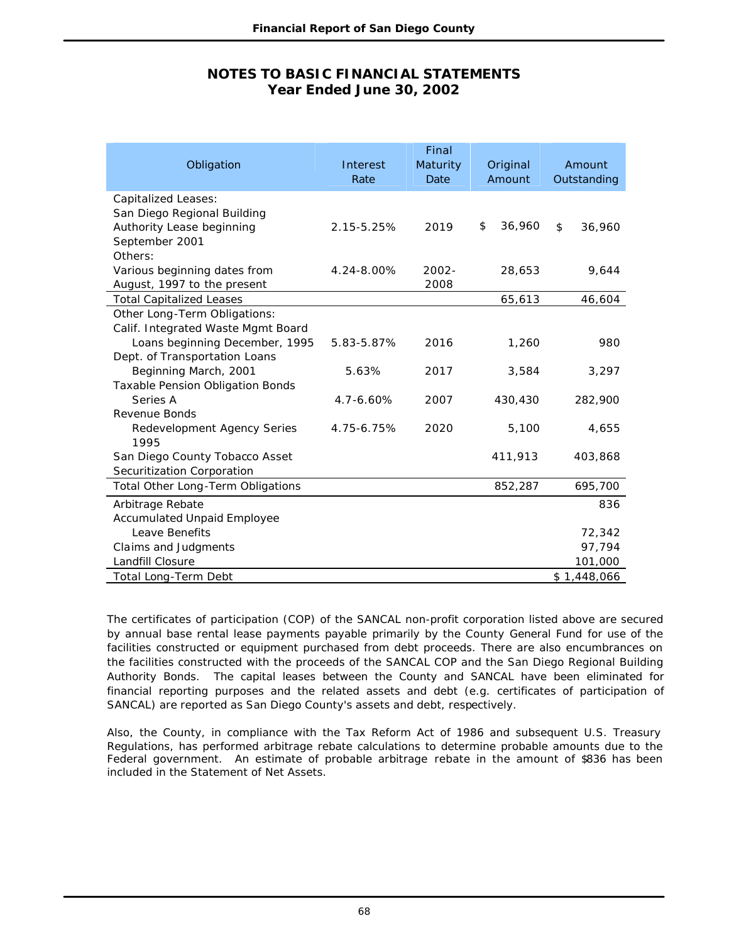| Obligation                                                                                                          | Interest<br>Rate | Final<br>Maturity<br>Date | Original<br>Amount | Amount<br>Outstanding |
|---------------------------------------------------------------------------------------------------------------------|------------------|---------------------------|--------------------|-----------------------|
| <b>Capitalized Leases:</b><br>San Diego Regional Building<br>Authority Lease beginning<br>September 2001<br>Others: | 2.15-5.25%       | 2019                      | 36,960<br>\$       | \$<br>36,960          |
| Various beginning dates from<br>August, 1997 to the present                                                         | 4.24-8.00%       | $2002 -$<br>2008          | 28,653             | 9,644                 |
| <b>Total Capitalized Leases</b>                                                                                     |                  |                           | 65,613             | 46,604                |
| Other Long-Term Obligations:<br>Calif. Integrated Waste Mgmt Board                                                  |                  |                           |                    |                       |
| Loans beginning December, 1995<br>Dept. of Transportation Loans                                                     | 5.83-5.87%       | 2016                      | 1,260              | 980                   |
| Beginning March, 2001<br><b>Taxable Pension Obligation Bonds</b>                                                    | 5.63%            | 2017                      | 3,584              | 3,297                 |
| Series A<br><b>Revenue Bonds</b>                                                                                    | $4.7 - 6.60%$    | 2007                      | 430,430            | 282,900               |
| Redevelopment Agency Series<br>1995                                                                                 | 4.75-6.75%       | 2020                      | 5,100              | 4,655                 |
| San Diego County Tobacco Asset<br>Securitization Corporation                                                        |                  |                           | 411,913            | 403,868               |
| Total Other Long-Term Obligations                                                                                   |                  |                           | 852,287            | 695,700               |
| Arbitrage Rebate                                                                                                    |                  |                           |                    | 836                   |
| <b>Accumulated Unpaid Employee</b>                                                                                  |                  |                           |                    |                       |
| Leave Benefits                                                                                                      |                  |                           |                    | 72,342                |
| Claims and Judgments                                                                                                |                  |                           |                    | 97,794                |
| Landfill Closure                                                                                                    |                  |                           |                    | 101,000               |
| Total Long-Term Debt                                                                                                |                  |                           |                    | \$1,448,066           |

The certificates of participation (COP) of the SANCAL non-profit corporation listed above are secured by annual base rental lease payments payable primarily by the County General Fund for use of the facilities constructed or equipment purchased from debt proceeds. There are also encumbrances on the facilities constructed with the proceeds of the SANCAL COP and the San Diego Regional Building Authority Bonds. The capital leases between the County and SANCAL have been eliminated for financial reporting purposes and the related assets and debt (e.g. certificates of participation of SANCAL) are reported as San Diego County's assets and debt, respectively.

Also, the County, in compliance with the Tax Reform Act of 1986 and subsequent U.S. Treasury Regulations, has performed arbitrage rebate calculations to determine probable amounts due to the Federal government. An estimate of probable arbitrage rebate in the amount of \$836 has been included in the Statement of Net Assets.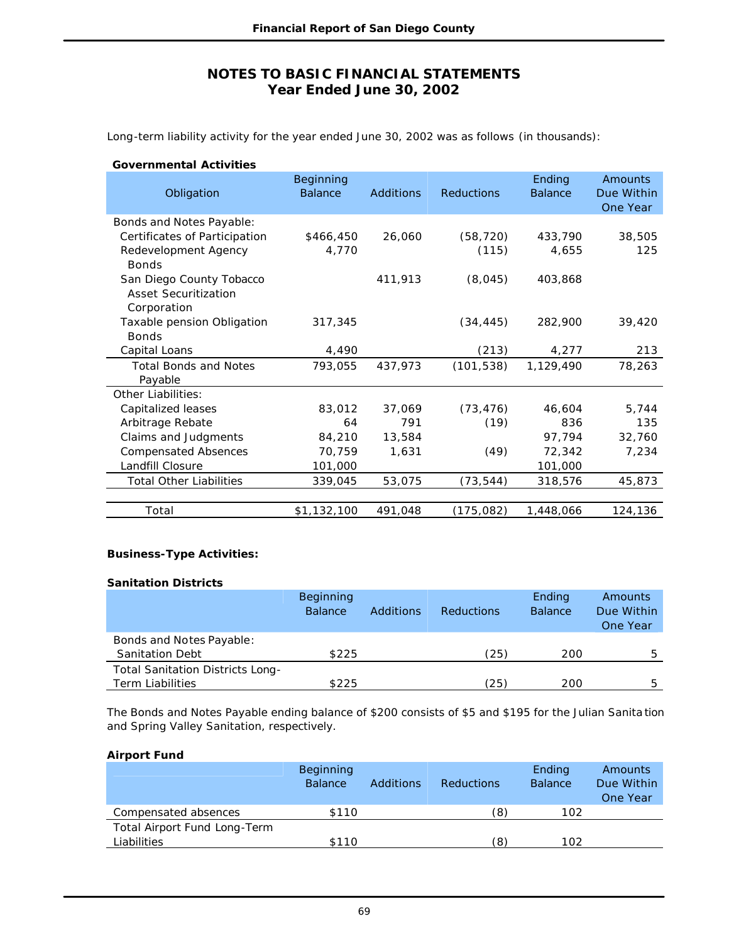Long-term liability activity for the year ended June 30, 2002 was as follows (in thousands):

| Obligation                     | Beginning<br><b>Balance</b> | <b>Additions</b> | <b>Reductions</b> | Ending<br><b>Balance</b> | Amounts<br>Due Within<br>One Year |
|--------------------------------|-----------------------------|------------------|-------------------|--------------------------|-----------------------------------|
| Bonds and Notes Payable:       |                             |                  |                   |                          |                                   |
| Certificates of Participation  | \$466,450                   | 26,060           | (58, 720)         | 433,790                  | 38,505                            |
| Redevelopment Agency           | 4,770                       |                  | (115)             | 4,655                    | 125                               |
| <b>Bonds</b>                   |                             |                  |                   |                          |                                   |
| San Diego County Tobacco       |                             | 411,913          | (8,045)           | 403,868                  |                                   |
| <b>Asset Securitization</b>    |                             |                  |                   |                          |                                   |
| Corporation                    |                             |                  |                   |                          |                                   |
| Taxable pension Obligation     | 317,345                     |                  | (34, 445)         | 282,900                  | 39,420                            |
| <b>Bonds</b>                   |                             |                  |                   |                          |                                   |
| Capital Loans                  | 4,490                       |                  | (213)             | 4,277                    | 213                               |
| <b>Total Bonds and Notes</b>   | 793,055                     | 437,973          | (101, 538)        | 1,129,490                | 78,263                            |
| Payable                        |                             |                  |                   |                          |                                   |
| Other Liabilities:             |                             |                  |                   |                          |                                   |
| Capitalized leases             | 83,012                      | 37.069           | (73, 476)         | 46,604                   | 5,744                             |
| Arbitrage Rebate               | 64                          | 791              | (19)              | 836                      | 135                               |
| Claims and Judgments           | 84,210                      | 13,584           |                   | 97,794                   | 32,760                            |
| <b>Compensated Absences</b>    | 70,759                      | 1,631            | (49)              | 72,342                   | 7,234                             |
| Landfill Closure               | 101,000                     |                  |                   | 101,000                  |                                   |
| <b>Total Other Liabilities</b> | 339,045                     | 53,075           | (73, 544)         | 318,576                  | 45,873                            |
|                                |                             |                  |                   |                          |                                   |
| Total                          | \$1,132,100                 | 491,048          | (175,082)         | 1,448,066                | 124,136                           |
|                                |                             |                  |                   |                          |                                   |

### **Business-Type Activities:**

#### **Sanitation Districts**

|                                         | <b>Beginning</b><br><b>Balance</b> | Additions | <b>Reductions</b> | Ending<br><b>Balance</b> | Amounts<br>Due Within<br>One Year |
|-----------------------------------------|------------------------------------|-----------|-------------------|--------------------------|-----------------------------------|
| Bonds and Notes Payable:                |                                    |           |                   |                          |                                   |
| <b>Sanitation Debt</b>                  | \$225                              |           | (25)              | 200                      | г,                                |
| <b>Total Sanitation Districts Long-</b> |                                    |           |                   |                          |                                   |
| <b>Term Liabilities</b>                 | \$225                              |           | (25)              | 200                      | г,                                |

The Bonds and Notes Payable ending balance of \$200 consists of \$5 and \$195 for the Julian Sanita tion and Spring Valley Sanitation, respectively.

### **Airport Fund**

|                              | <b>Beginning</b> |                  |                   | Ending         | Amounts    |
|------------------------------|------------------|------------------|-------------------|----------------|------------|
|                              | <b>Balance</b>   | <b>Additions</b> | <b>Reductions</b> | <b>Balance</b> | Due Within |
|                              |                  |                  |                   |                | One Year   |
| Compensated absences         | \$110            |                  | (8)               | 102            |            |
| Total Airport Fund Long-Term |                  |                  |                   |                |            |
| Liabilities                  | \$110            |                  | (8)               | 102            |            |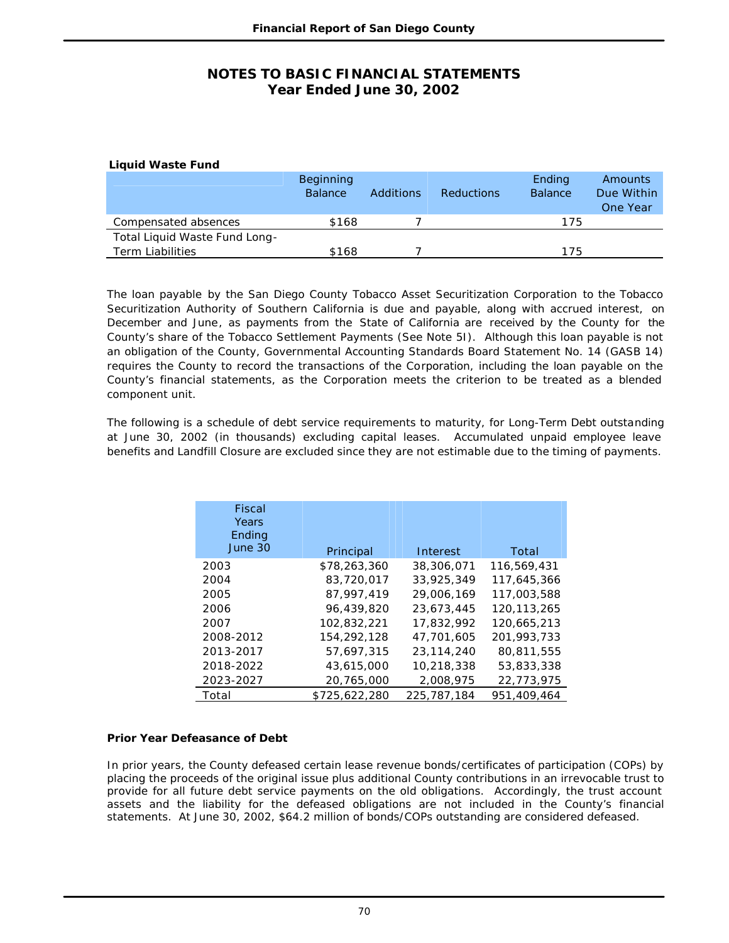| <b>Liquid Waste Fund</b>      |                                    |           |                   |                          |                                   |
|-------------------------------|------------------------------------|-----------|-------------------|--------------------------|-----------------------------------|
|                               | <b>Beginning</b><br><b>Balance</b> | Additions | <b>Reductions</b> | Ending<br><b>Balance</b> | Amounts<br>Due Within<br>One Year |
| Compensated absences          | \$168                              |           |                   | 175                      |                                   |
| Total Liquid Waste Fund Long- |                                    |           |                   |                          |                                   |
| <b>Term Liabilities</b>       | \$168                              |           |                   | 175                      |                                   |

The loan payable by the San Diego County Tobacco Asset Securitization Corporation to the Tobacco Securitization Authority of Southern California is due and payable, along with accrued interest, on December and June, as payments from the State of California are received by the County for the County's share of the Tobacco Settlement Payments (See Note 5I). Although this loan payable is not an obligation of the County, Governmental Accounting Standards Board Statement No. 14 (GASB 14) requires the County to record the transactions of the Corporation, including the loan payable on the County's financial statements, as the Corporation meets the criterion to be treated as a blended component unit.

The following is a schedule of debt service requirements to maturity, for Long-Term Debt outstanding at June 30, 2002 (in thousands) excluding capital leases. Accumulated unpaid employee leave benefits and Landfill Closure are excluded since they are not estimable due to the timing of payments.

| Fiscal<br>Years<br>Ending<br>June 30 | Principal     | Interest    | Total       |
|--------------------------------------|---------------|-------------|-------------|
| 2003                                 | \$78,263,360  | 38,306,071  | 116,569,431 |
| 2004                                 | 83,720,017    | 33,925,349  | 117,645,366 |
| 2005                                 | 87.997.419    | 29,006,169  | 117,003,588 |
| 2006                                 | 96,439,820    | 23.673.445  | 120,113,265 |
| 2007                                 | 102,832,221   | 17,832,992  | 120,665,213 |
| 2008-2012                            | 154,292,128   | 47.701.605  | 201,993,733 |
| 2013-2017                            | 57.697.315    | 23,114,240  | 80.811.555  |
| 2018-2022                            | 43,615,000    | 10,218,338  | 53,833,338  |
| 2023-2027                            | 20,765,000    | 2,008,975   | 22,773,975  |
| Total                                | \$725,622,280 | 225,787,184 | 951,409,464 |

### **Prior Year Defeasance of Debt**

In prior years, the County defeased certain lease revenue bonds/certificates of participation (COPs) by placing the proceeds of the original issue plus additional County contributions in an irrevocable trust to provide for all future debt service payments on the old obligations. Accordingly, the trust account assets and the liability for the defeased obligations are not included in the County's financial statements. At June 30, 2002, \$64.2 million of bonds/COPs outstanding are considered defeased.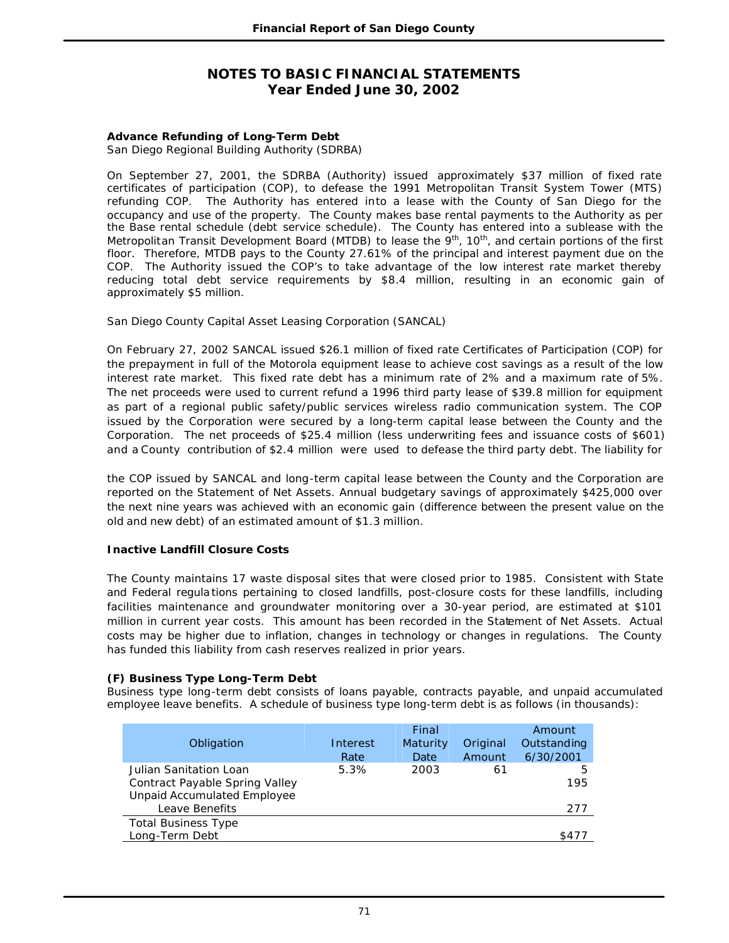### **Advance Refunding of Long-Term Debt**

San Diego Regional Building Authority (SDRBA)

On September 27, 2001, the SDRBA (Authority) issued approximately \$37 million of fixed rate certificates of participation (COP), to defease the 1991 Metropolitan Transit System Tower (MTS) refunding COP. The Authority has entered into a lease with the County of San Diego for the occupancy and use of the property. The County makes base rental payments to the Authority as per the Base rental schedule (debt service schedule). The County has entered into a sublease with the Metropolitan Transit Development Board (MTDB) to lease the 9<sup>th</sup>, 10<sup>th</sup>, and certain portions of the first floor. Therefore, MTDB pays to the County 27.61% of the principal and interest payment due on the COP. The Authority issued the COP's to take advantage of the low interest rate market thereby reducing total debt service requirements by \$8.4 million, resulting in an economic gain of approximately \$5 million.

San Diego County Capital Asset Leasing Corporation (SANCAL)

On February 27, 2002 SANCAL issued \$26.1 million of fixed rate Certificates of Participation (COP) for the prepayment in full of the Motorola equipment lease to achieve cost savings as a result of the low interest rate market. This fixed rate debt has a minimum rate of 2% and a maximum rate of 5%. The net proceeds were used to current refund a 1996 third party lease of \$39.8 million for equipment as part of a regional public safety/public services wireless radio communication system. The COP issued by the Corporation were secured by a long-term capital lease between the County and the Corporation. The net proceeds of \$25.4 million (less underwriting fees and issuance costs of \$601) and a County contribution of \$2.4 million were used to defease the third party debt. The liability for

the COP issued by SANCAL and long-term capital lease between the County and the Corporation are reported on the Statement of Net Assets. Annual budgetary savings of approximately \$425,000 over the next nine years was achieved with an economic gain (difference between the present value on the old and new debt) of an estimated amount of \$1.3 million.

### **Inactive Landfill Closure Costs**

The County maintains 17 waste disposal sites that were closed prior to 1985. Consistent with State and Federal regula tions pertaining to closed landfills, post-closure costs for these landfills, including facilities maintenance and groundwater monitoring over a 30-year period, are estimated at \$101 million in current year costs. This amount has been recorded in the Statement of Net Assets. Actual costs may be higher due to inflation, changes in technology or changes in regulations. The County has funded this liability from cash reserves realized in prior years.

### **(F) Business Type Long-Term Debt**

Business type long-term debt consists of loans payable, contracts payable, and unpaid accumulated employee leave benefits. A schedule of business type long-term debt is as follows (in thousands):

|                                    |          | Final    |          | Amount      |
|------------------------------------|----------|----------|----------|-------------|
| Obligation                         | Interest | Maturity | Original | Outstanding |
|                                    | Rate     | Date     | Amount   | 6/30/2001   |
| Julian Sanitation Loan             | 5.3%     | 2003     | 61       | 5           |
| Contract Payable Spring Valley     |          |          |          | 195         |
| <b>Unpaid Accumulated Employee</b> |          |          |          |             |
| Leave Benefits                     |          |          |          | 277         |
| <b>Total Business Type</b>         |          |          |          |             |
| Long-Term Debt                     |          |          |          | \$477       |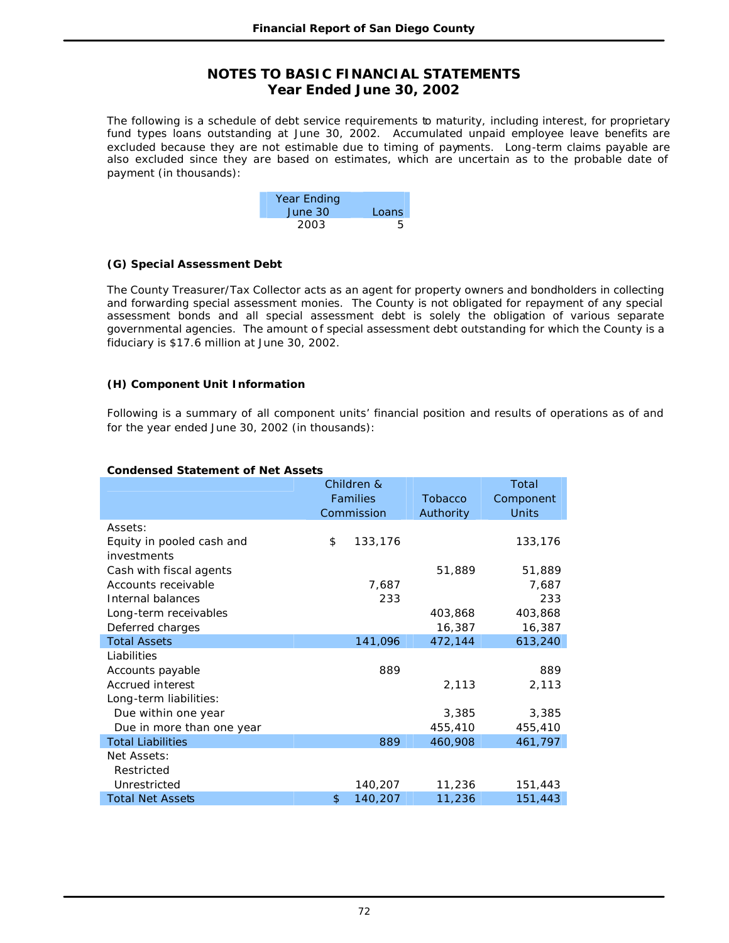The following is a schedule of debt service requirements to maturity, including interest, for proprietary fund types loans outstanding at June 30, 2002. Accumulated unpaid employee leave benefits are excluded because they are not estimable due to timing of payments. Long-term claims payable are also excluded since they are based on estimates, which are uncertain as to the probable date of payment (in thousands):

| Year Ending |       |
|-------------|-------|
| June 30     | Loans |
| 2003        | 5     |

### **(G) Special Assessment Debt**

The County Treasurer/Tax Collector acts as an agent for property owners and bondholders in collecting and forwarding special assessment monies. The County is not obligated for repayment of any special assessment bonds and all special assessment debt is solely the obligation of various separate governmental agencies. The amount of special assessment debt outstanding for which the County is a fiduciary is \$17.6 million at June 30, 2002.

### **(H) Component Unit Information**

Following is a summary of all component units' financial position and results of operations as of and for the year ended June 30, 2002 (in thousands):

#### **Condensed Statement of Net Assets**

|                           | Children &<br>Families<br>Commission |         | <b>Tobacco</b><br>Authority | Total<br>Component<br><b>Units</b> |
|---------------------------|--------------------------------------|---------|-----------------------------|------------------------------------|
| Assets:                   |                                      |         |                             |                                    |
| Equity in pooled cash and | \$                                   | 133,176 |                             | 133,176                            |
| investments               |                                      |         |                             |                                    |
| Cash with fiscal agents   |                                      |         | 51,889                      | 51,889                             |
| Accounts receivable       |                                      | 7,687   |                             | 7,687                              |
| Internal balances         |                                      | 233     |                             | 233                                |
| Long-term receivables     |                                      |         | 403,868                     | 403,868                            |
| Deferred charges          |                                      |         | 16,387                      | 16,387                             |
| <b>Total Assets</b>       |                                      | 141,096 | 472,144                     | 613,240                            |
| Liabilities               |                                      |         |                             |                                    |
| Accounts payable          |                                      | 889     |                             | 889                                |
| Accrued interest          |                                      |         | 2,113                       | 2,113                              |
| Long-term liabilities:    |                                      |         |                             |                                    |
| Due within one year       |                                      |         | 3,385                       | 3,385                              |
| Due in more than one year |                                      |         | 455,410                     | 455,410                            |
| <b>Total Liabilities</b>  |                                      | 889     | 460,908                     | 461,797                            |
| Net Assets:               |                                      |         |                             |                                    |
| Restricted                |                                      |         |                             |                                    |
| Unrestricted              |                                      | 140,207 | 11,236                      | 151,443                            |
| <b>Total Net Assets</b>   | \$                                   | 140,207 | 11,236                      | 151,443                            |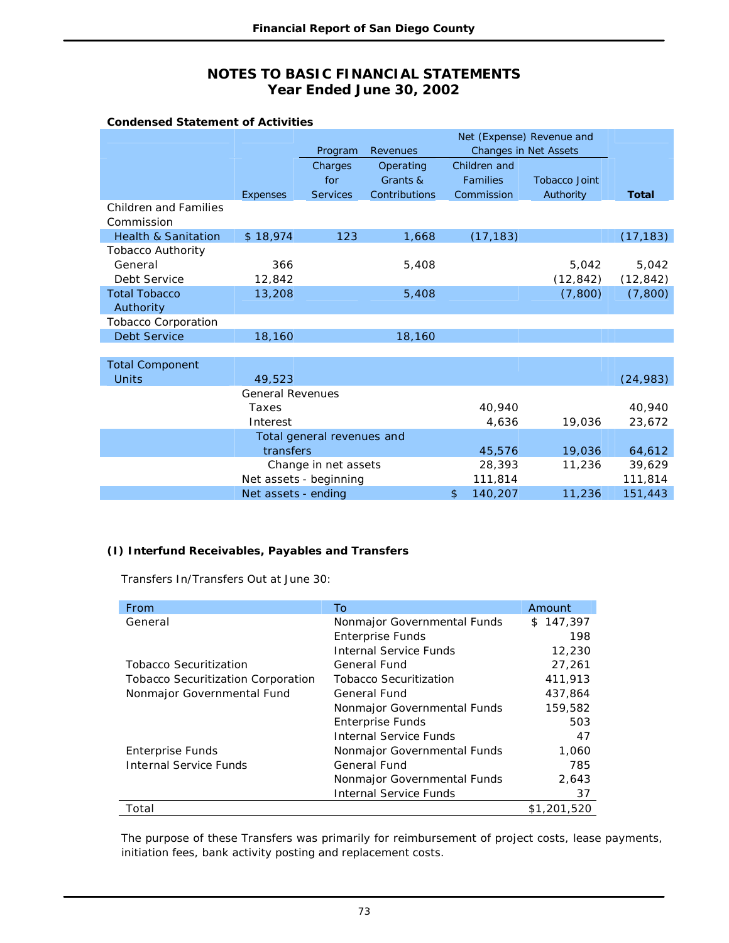| <b>Condensed Statement of Activities</b>   |                         |                            |               |                 |                              |              |
|--------------------------------------------|-------------------------|----------------------------|---------------|-----------------|------------------------------|--------------|
|                                            |                         |                            |               |                 | Net (Expense) Revenue and    |              |
|                                            |                         | Program                    | Revenues      |                 | <b>Changes in Net Assets</b> |              |
|                                            |                         | Charges                    | Operating     | Children and    |                              |              |
|                                            |                         | for                        | Grants &      | <b>Families</b> | <b>Tobacco Joint</b>         |              |
|                                            | <b>Expenses</b>         | <b>Services</b>            | Contributions | Commission      | Authority                    | <b>Total</b> |
| <b>Children and Families</b><br>Commission |                         |                            |               |                 |                              |              |
| <b>Health &amp; Sanitation</b>             | \$18,974                | 123                        | 1,668         | (17, 183)       |                              | (17, 183)    |
| <b>Tobacco Authority</b>                   |                         |                            |               |                 |                              |              |
| General                                    | 366                     |                            | 5,408         |                 | 5,042                        | 5,042        |
| Debt Service                               | 12,842                  |                            |               |                 | (12, 842)                    | (12, 842)    |
| <b>Total Tobacco</b>                       | 13,208                  |                            | 5,408         |                 | (7, 800)                     | (7,800)      |
| Authority                                  |                         |                            |               |                 |                              |              |
| <b>Tobacco Corporation</b>                 |                         |                            |               |                 |                              |              |
| <b>Debt Service</b>                        | 18,160                  |                            | 18,160        |                 |                              |              |
|                                            |                         |                            |               |                 |                              |              |
| <b>Total Component</b>                     |                         |                            |               |                 |                              |              |
| <b>Units</b>                               | 49,523                  |                            |               |                 |                              | (24, 983)    |
|                                            | <b>General Revenues</b> |                            |               |                 |                              |              |
|                                            | Taxes                   |                            |               | 40,940          |                              | 40,940       |
|                                            | Interest                |                            |               | 4,636           | 19,036                       | 23,672       |
|                                            |                         | Total general revenues and |               |                 |                              |              |
|                                            | transfers               |                            |               | 45,576          | 19,036                       | 64,612       |
|                                            |                         | Change in net assets       |               | 28,393          | 11,236                       | 39,629       |
|                                            | Net assets - beginning  |                            |               | 111,814         |                              | 111,814      |
|                                            | Net assets - ending     |                            |               | 140,207<br>\$   | 11,236                       | 151,443      |

## **(I) Interfund Receivables, Payables and Transfers**

Transfers In/Transfers Out at June 30:

| From                                      | To                            | Amount      |
|-------------------------------------------|-------------------------------|-------------|
| General                                   | Nonmajor Governmental Funds   | \$147,397   |
|                                           | <b>Enterprise Funds</b>       | 198         |
|                                           | <b>Internal Service Funds</b> | 12,230      |
| <b>Tobacco Securitization</b>             | General Fund                  | 27,261      |
| <b>Tobacco Securitization Corporation</b> | <b>Tobacco Securitization</b> | 411,913     |
| Nonmajor Governmental Fund                | General Fund                  | 437,864     |
|                                           | Nonmajor Governmental Funds   | 159,582     |
|                                           | <b>Enterprise Funds</b>       | 503         |
|                                           | Internal Service Funds        | 47          |
| <b>Enterprise Funds</b>                   | Nonmajor Governmental Funds   | 1,060       |
| <b>Internal Service Funds</b>             | General Fund                  | 785         |
|                                           | Nonmajor Governmental Funds   | 2,643       |
|                                           | <b>Internal Service Funds</b> | 37          |
| Total                                     |                               | \$1,201,520 |

The purpose of these Transfers was primarily for reimbursement of project costs, lease payments, initiation fees, bank activity posting and replacement costs.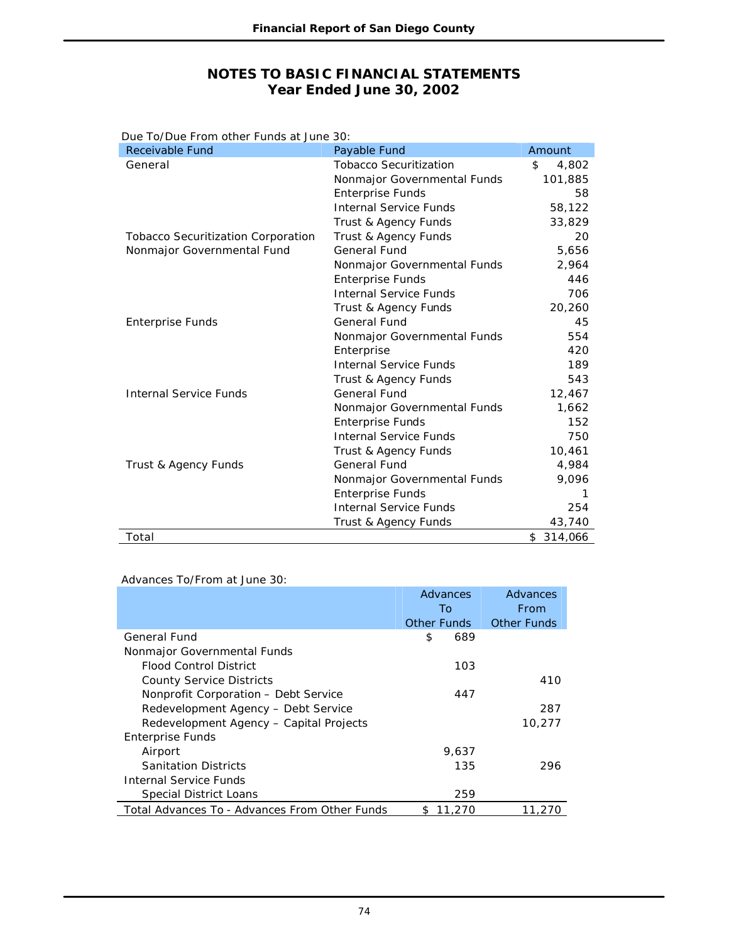| Due To/Due From other Funds at June 30:   |                               |             |
|-------------------------------------------|-------------------------------|-------------|
| Receivable Fund                           | Payable Fund                  | Amount      |
| General                                   | <b>Tobacco Securitization</b> | \$<br>4,802 |
|                                           | Nonmajor Governmental Funds   | 101,885     |
|                                           | <b>Enterprise Funds</b>       | 58          |
|                                           | <b>Internal Service Funds</b> | 58,122      |
|                                           | Trust & Agency Funds          | 33,829      |
| <b>Tobacco Securitization Corporation</b> | Trust & Agency Funds          | 20          |
| Nonmajor Governmental Fund                | <b>General Fund</b>           | 5,656       |
|                                           | Nonmajor Governmental Funds   | 2,964       |
|                                           | <b>Enterprise Funds</b>       | 446         |
|                                           | <b>Internal Service Funds</b> | 706         |
|                                           | Trust & Agency Funds          | 20,260      |
| <b>Enterprise Funds</b>                   | General Fund                  | 45          |
|                                           | Nonmajor Governmental Funds   | 554         |
|                                           | Enterprise                    | 420         |
|                                           | <b>Internal Service Funds</b> | 189         |
|                                           | Trust & Agency Funds          | 543         |
| <b>Internal Service Funds</b>             | General Fund                  | 12,467      |
|                                           | Nonmajor Governmental Funds   | 1,662       |
|                                           | <b>Enterprise Funds</b>       | 152         |
|                                           | <b>Internal Service Funds</b> | 750         |
|                                           | Trust & Agency Funds          | 10,461      |
| Trust & Agency Funds                      | <b>General Fund</b>           | 4,984       |
|                                           | Nonmajor Governmental Funds   | 9,096       |
|                                           | <b>Enterprise Funds</b>       | 1           |
|                                           | <b>Internal Service Funds</b> | 254         |
|                                           | Trust & Agency Funds          | 43,740      |
| Total                                     |                               | \$314,066   |

### Advances To/From at June 30:

|                                               | Advances      | Advances           |
|-----------------------------------------------|---------------|--------------------|
|                                               | To            | From               |
|                                               | Other Funds   | <b>Other Funds</b> |
| General Fund                                  | \$<br>689     |                    |
| Nonmajor Governmental Funds                   |               |                    |
| Flood Control District                        | 103           |                    |
| <b>County Service Districts</b>               |               | 410                |
| Nonprofit Corporation - Debt Service          | 447           |                    |
| Redevelopment Agency - Debt Service           |               | 287                |
| Redevelopment Agency - Capital Projects       |               | 10,277             |
| <b>Enterprise Funds</b>                       |               |                    |
| Airport                                       | 9.637         |                    |
| <b>Sanitation Districts</b>                   | 135           | 296                |
| Internal Service Funds                        |               |                    |
| Special District Loans                        | 259           |                    |
| Total Advances To - Advances From Other Funds | 11,270<br>SS. | 11,270             |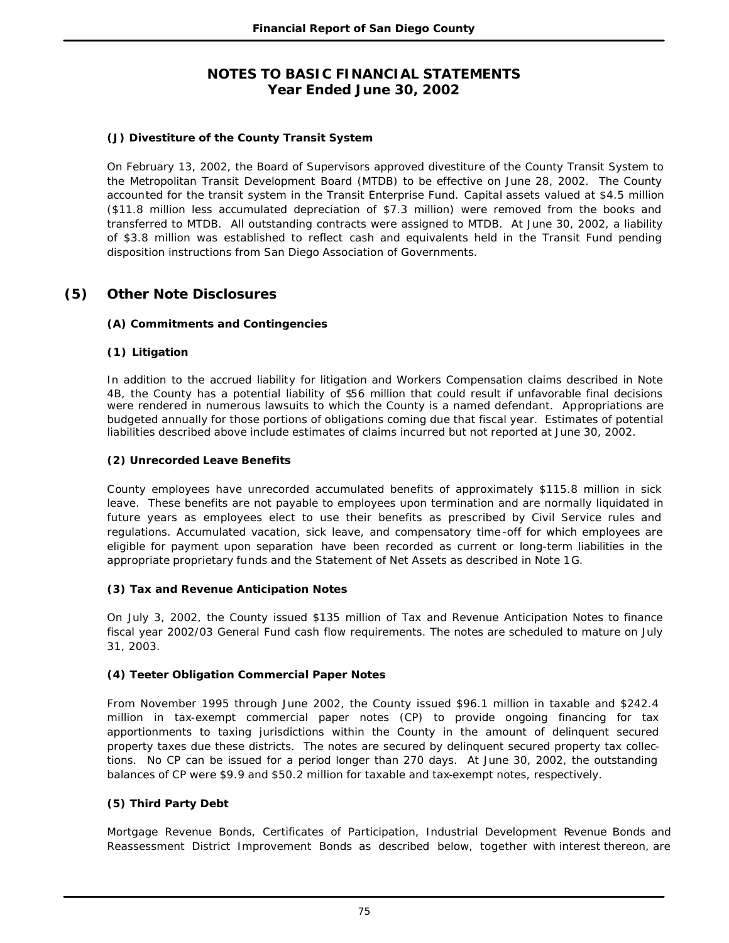## **(J) Divestiture of the County Transit System**

On February 13, 2002, the Board of Supervisors approved divestiture of the County Transit System to the Metropolitan Transit Development Board (MTDB) to be effective on June 28, 2002. The County accounted for the transit system in the Transit Enterprise Fund. Capital assets valued at \$4.5 million (\$11.8 million less accumulated depreciation of \$7.3 million) were removed from the books and transferred to MTDB. All outstanding contracts were assigned to MTDB. At June 30, 2002, a liability of \$3.8 million was established to reflect cash and equivalents held in the Transit Fund pending disposition instructions from San Diego Association of Governments.

# **(5) Other Note Disclosures**

### **(A) Commitments and Contingencies**

### **(1) Litigation**

In addition to the accrued liability for litigation and Workers Compensation claims described in Note 4B, the County has a potential liability of \$56 million that could result if unfavorable final decisions were rendered in numerous lawsuits to which the County is a named defendant. Appropriations are budgeted annually for those portions of obligations coming due that fiscal year. Estimates of potential liabilities described above include estimates of claims incurred but not reported at June 30, 2002.

### **(2) Unrecorded Leave Benefits**

County employees have unrecorded accumulated benefits of approximately \$115.8 million in sick leave. These benefits are not payable to employees upon termination and are normally liquidated in future years as employees elect to use their benefits as prescribed by Civil Service rules and regulations. Accumulated vacation, sick leave, and compensatory time -off for which employees are eligible for payment upon separation have been recorded as current or long-term liabilities in the appropriate proprietary funds and the Statement of Net Assets as described in Note 1G.

### **(3) Tax and Revenue Anticipation Notes**

On July 3, 2002, the County issued \$135 million of Tax and Revenue Anticipation Notes to finance fiscal year 2002/03 General Fund cash flow requirements. The notes are scheduled to mature on July 31, 2003.

### **(4) Teeter Obligation Commercial Paper Notes**

From November 1995 through June 2002, the County issued \$96.1 million in taxable and \$242.4 million in tax-exempt commercial paper notes (CP) to provide ongoing financing for tax apportionments to taxing jurisdictions within the County in the amount of delinquent secured property taxes due these districts. The notes are secured by delinquent secured property tax collections. No CP can be issued for a period longer than 270 days. At June 30, 2002, the outstanding balances of CP were \$9.9 and \$50.2 million for taxable and tax-exempt notes, respectively.

### **(5) Third Party Debt**

Mortgage Revenue Bonds, Certificates of Participation, Industrial Development Revenue Bonds and Reassessment District Improvement Bonds as described below, together with interest thereon, are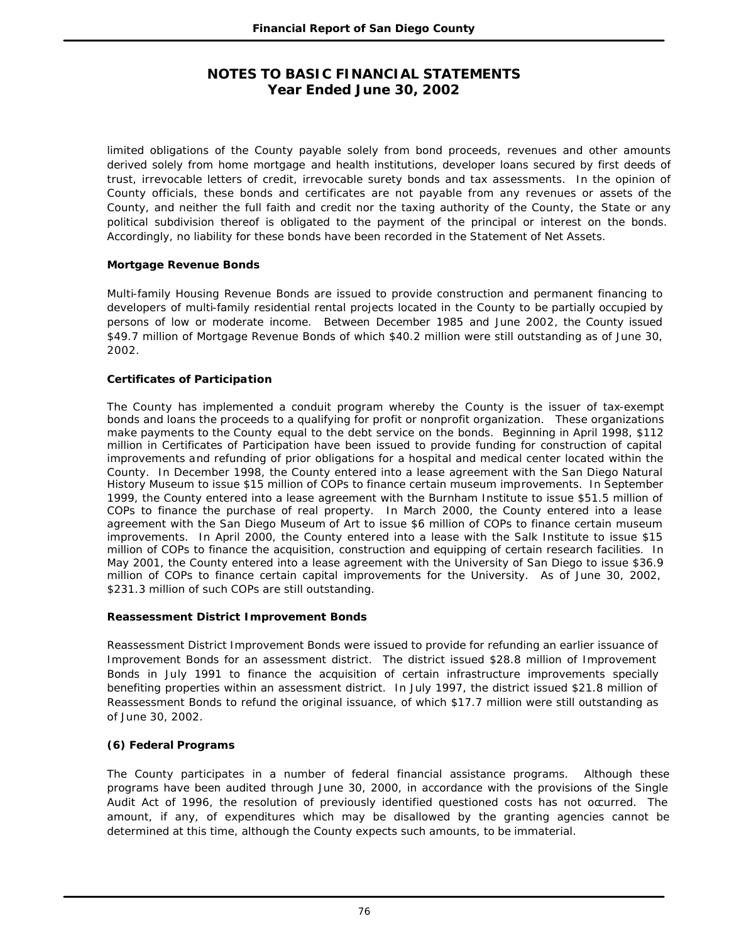limited obligations of the County payable solely from bond proceeds, revenues and other amounts derived solely from home mortgage and health institutions, developer loans secured by first deeds of trust, irrevocable letters of credit, irrevocable surety bonds and tax assessments. In the opinion of County officials, these bonds and certificates are not payable from any revenues or assets of the County, and neither the full faith and credit nor the taxing authority of the County, the State or any political subdivision thereof is obligated to the payment of the principal or interest on the bonds. Accordingly, no liability for these bonds have been recorded in the Statement of Net Assets.

### **Mortgage Revenue Bonds**

Multi-family Housing Revenue Bonds are issued to provide construction and permanent financing to developers of multi-family residential rental projects located in the County to be partially occupied by persons of low or moderate income. Between December 1985 and June 2002, the County issued \$49.7 million of Mortgage Revenue Bonds of which \$40.2 million were still outstanding as of June 30, 2002.

### **Certificates of Participation**

The County has implemented a conduit program whereby the County is the issuer of tax-exempt bonds and loans the proceeds to a qualifying for profit or nonprofit organization. These organizations make payments to the County equal to the debt service on the bonds. Beginning in April 1998, \$112 million in Certificates of Participation have been issued to provide funding for construction of capital improvements and refunding of prior obligations for a hospital and medical center located within the County. In December 1998, the County entered into a lease agreement with the San Diego Natural History Museum to issue \$15 million of COPs to finance certain museum improvements. In September 1999, the County entered into a lease agreement with the Burnham Institute to issue \$51.5 million of COPs to finance the purchase of real property. In March 2000, the County entered into a lease agreement with the San Diego Museum of Art to issue \$6 million of COPs to finance certain museum improvements. In April 2000, the County entered into a lease with the Salk Institute to issue \$15 million of COPs to finance the acquisition, construction and equipping of certain research facilities. In May 2001, the County entered into a lease agreement with the University of San Diego to issue \$36.9 million of COPs to finance certain capital improvements for the University. As of June 30, 2002, \$231.3 million of such COPs are still outstanding.

### **Reassessment District Improvement Bonds**

Reassessment District Improvement Bonds were issued to provide for refunding an earlier issuance of Improvement Bonds for an assessment district. The district issued \$28.8 million of Improvement Bonds in July 1991 to finance the acquisition of certain infrastructure improvements specially benefiting properties within an assessment district. In July 1997, the district issued \$21.8 million of Reassessment Bonds to refund the original issuance, of which \$17.7 million were still outstanding as of June 30, 2002.

## **(6) Federal Programs**

The County participates in a number of federal financial assistance programs. Although these programs have been audited through June 30, 2000, in accordance with the provisions of the Single Audit Act of 1996, the resolution of previously identified questioned costs has not occurred. The amount, if any, of expenditures which may be disallowed by the granting agencies cannot be determined at this time, although the County expects such amounts, to be immaterial.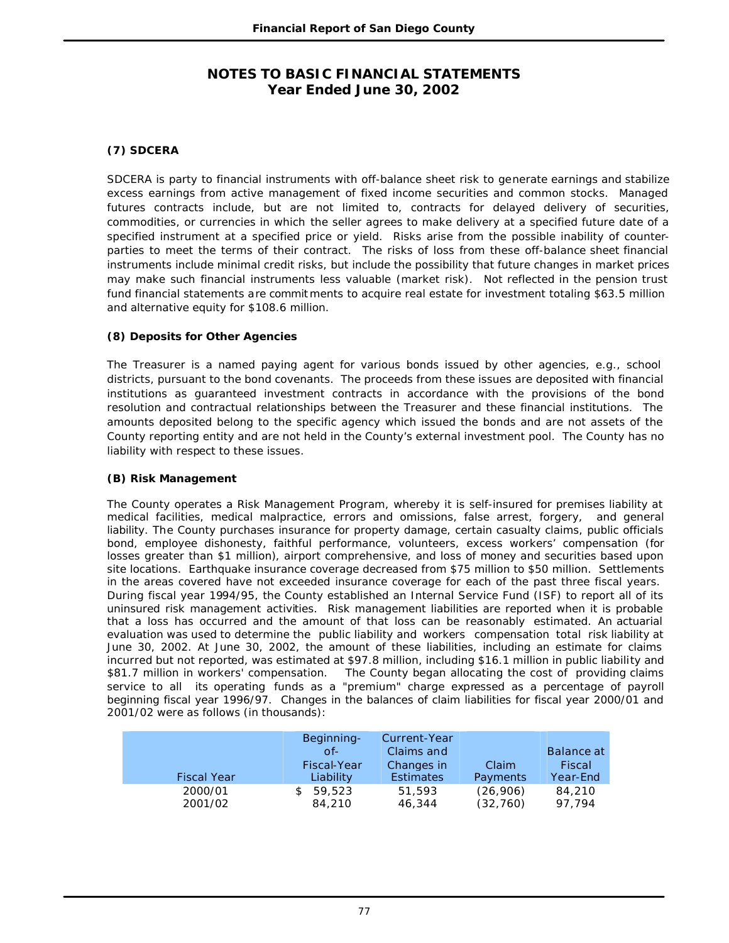## **(7) SDCERA**

SDCERA is party to financial instruments with off-balance sheet risk to generate earnings and stabilize excess earnings from active management of fixed income securities and common stocks. Managed futures contracts include, but are not limited to, contracts for delayed delivery of securities, commodities, or currencies in which the seller agrees to make delivery at a specified future date of a specified instrument at a specified price or yield. Risks arise from the possible inability of counterparties to meet the terms of their contract. The risks of loss from these off-balance sheet financial instruments include minimal credit risks, but include the possibility that future changes in market prices may make such financial instruments less valuable (market risk). Not reflected in the pension trust fund financial statements are commit ments to acquire real estate for investment totaling \$63.5 million and alternative equity for \$108.6 million.

### **(8) Deposits for Other Agencies**

The Treasurer is a named paying agent for various bonds issued by other agencies, e.g., school districts, pursuant to the bond covenants. The proceeds from these issues are deposited with financial institutions as guaranteed investment contracts in accordance with the provisions of the bond resolution and contractual relationships between the Treasurer and these financial institutions. The amounts deposited belong to the specific agency which issued the bonds and are not assets of the County reporting entity and are not held in the County's external investment pool. The County has no liability with respect to these issues.

## **(B) Risk Management**

The County operates a Risk Management Program, whereby it is self-insured for premises liability at medical facilities, medical malpractice, errors and omissions, false arrest, forgery, and general liability. The County purchases insurance for property damage, certain casualty claims, public officials bond, employee dishonesty, faithful performance, volunteers, excess workers' compensation (for losses greater than \$1 million), airport comprehensive, and loss of money and securities based upon site locations. Earthquake insurance coverage decreased from \$75 million to \$50 million. Settlements in the areas covered have not exceeded insurance coverage for each of the past three fiscal years. During fiscal year 1994/95, the County established an Internal Service Fund (ISF) to report all of its uninsured risk management activities. Risk management liabilities are reported when it is probable that a loss has occurred and the amount of that loss can be reasonably estimated. An actuarial evaluation was used to determine the public liability and workers compensation total risk liability at June 30, 2002. At June 30, 2002, the amount of these liabilities, including an estimate for claims incurred but not reported, was estimated at \$97.8 million, including \$16.1 million in public liability and \$81.7 million in workers' compensation. The County began allocating the cost of providing claims The County began allocating the cost of providing claims service to all its operating funds as a "premium" charge expressed as a percentage of payroll beginning fiscal year 1996/97. Changes in the balances of claim liabilities for fiscal year 2000/01 and 2001/02 were as follows (in thousands):

| <b>Fiscal Year</b> | Beginning-<br>$Of-1$<br>Fiscal-Year<br>Liability | Current-Year<br>Claims and<br>Changes in<br><b>Estimates</b> | Claim<br>Payments | Balance at<br>Fiscal<br>Year-End |
|--------------------|--------------------------------------------------|--------------------------------------------------------------|-------------------|----------------------------------|
| 2000/01            | 59,523                                           | 51,593                                                       | (26,906)          | 84,210                           |
| 2001/02            | 84,210                                           | 46,344                                                       | (32,760)          | 97.794                           |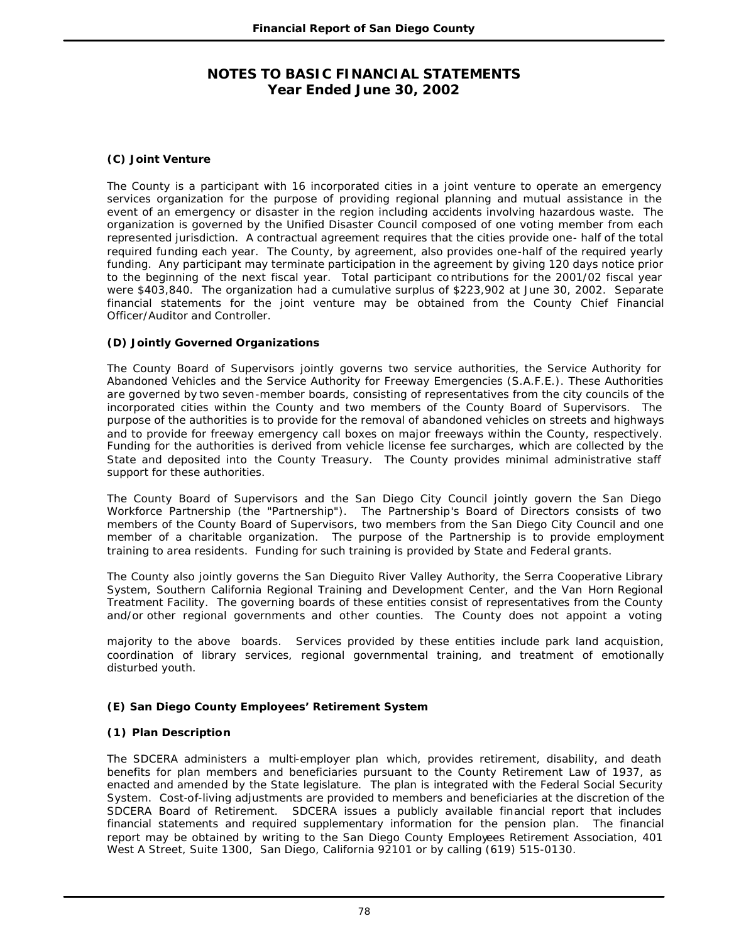### **(C) Joint Venture**

The County is a participant with 16 incorporated cities in a joint venture to operate an emergency services organization for the purpose of providing regional planning and mutual assistance in the event of an emergency or disaster in the region including accidents involving hazardous waste. The organization is governed by the Unified Disaster Council composed of one voting member from each represented jurisdiction. A contractual agreement requires that the cities provide one- half of the total required funding each year. The County, by agreement, also provides one-half of the required yearly funding. Any participant may terminate participation in the agreement by giving 120 days notice prior to the beginning of the next fiscal year. Total participant co ntributions for the 2001/02 fiscal year were \$403,840. The organization had a cumulative surplus of \$223,902 at June 30, 2002. Separate financial statements for the joint venture may be obtained from the County Chief Financial Officer/Auditor and Controller.

### **(D) Jointly Governed Organizations**

The County Board of Supervisors jointly governs two service authorities, the Service Authority for Abandoned Vehicles and the Service Authority for Freeway Emergencies (S.A.F.E.). These Authorities are governed by two seven-member boards, consisting of representatives from the city councils of the incorporated cities within the County and two members of the County Board of Supervisors. The purpose of the authorities is to provide for the removal of abandoned vehicles on streets and highways and to provide for freeway emergency call boxes on major freeways within the County, respectively. Funding for the authorities is derived from vehicle license fee surcharges, which are collected by the State and deposited into the County Treasury. The County provides minimal administrative staff support for these authorities.

The County Board of Supervisors and the San Diego City Council jointly govern the San Diego Workforce Partnership (the "Partnership"). The Partnership's Board of Directors consists of two members of the County Board of Supervisors, two members from the San Diego City Council and one member of a charitable organization. The purpose of the Partnership is to provide employment training to area residents. Funding for such training is provided by State and Federal grants.

The County also jointly governs the San Dieguito River Valley Authority, the Serra Cooperative Library System, Southern California Regional Training and Development Center, and the Van Horn Regional Treatment Facility. The governing boards of these entities consist of representatives from the County and/or other regional governments and other counties. The County does not appoint a voting

majority to the above boards. Services provided by these entities include park land acquisition, coordination of library services, regional governmental training, and treatment of emotionally disturbed youth.

### **(E) San Diego County Employees' Retirement System**

### **(1) Plan Description**

The SDCERA administers a multi-employer plan which, provides retirement, disability, and death benefits for plan members and beneficiaries pursuant to the County Retirement Law of 1937, as enacted and amended by the State legislature. The plan is integrated with the Federal Social Security System. Cost-of-living adjustments are provided to members and beneficiaries at the discretion of the SDCERA Board of Retirement. SDCERA issues a publicly available financial report that includes financial statements and required supplementary information for the pension plan. The financial report may be obtained by writing to the San Diego County Employees Retirement Association, 401 West A Street, Suite 1300, San Diego, California 92101 or by calling (619) 515-0130.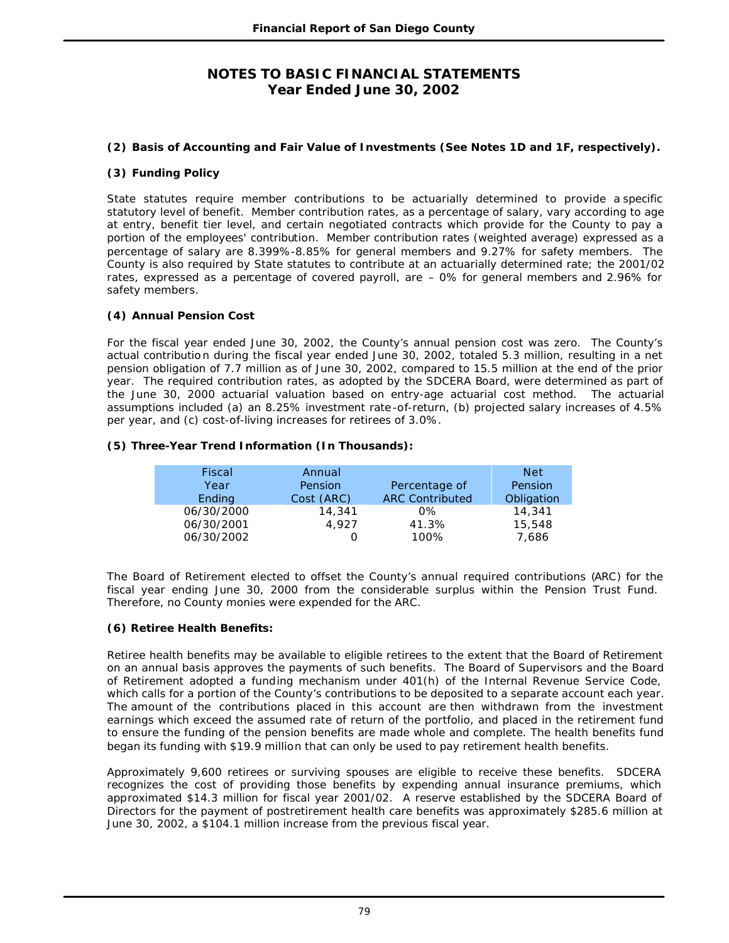### **(2) Basis of Accounting and Fair Value of Investments (See Notes 1D and 1F, respectively).**

### **(3) Funding Policy**

State statutes require member contributions to be actuarially determined to provide a specific statutory level of benefit. Member contribution rates, as a percentage of salary, vary according to age at entry, benefit tier level, and certain negotiated contracts which provide for the County to pay a portion of the employees' contribution. Member contribution rates (weighted average) expressed as a percentage of salary are 8.399%-8.85% for general members and 9.27% for safety members. The County is also required by State statutes to contribute at an actuarially determined rate; the 2001/02 rates, expressed as a percentage of covered payroll, are – 0% for general members and 2.96% for safety members.

### **(4) Annual Pension Cost**

For the fiscal year ended June 30, 2002, the County's annual pension cost was zero. The County's actual contributio n during the fiscal year ended June 30, 2002, totaled 5.3 million, resulting in a net pension obligation of 7.7 million as of June 30, 2002, compared to 15.5 million at the end of the prior year. The required contribution rates, as adopted by the SDCERA Board, were determined as part of the June 30, 2000 actuarial valuation based on entry-age actuarial cost method. The actuarial assumptions included (a) an 8.25% investment rate -of-return, (b) projected salary increases of 4.5% per year, and (c) cost-of-living increases for retirees of 3.0%.

### **(5) Three-Year Trend Information (In Thousands):**

| Fiscal     | Annual     |                        | Net        |
|------------|------------|------------------------|------------|
| Year       | Pension    | Percentage of          | Pension    |
| Ending     | Cost (ARC) | <b>ARC Contributed</b> | Obligation |
| 06/30/2000 | 14,341     | 0%                     | 14,341     |
| 06/30/2001 | 4.927      | 41.3%                  | 15,548     |
| 06/30/2002 |            | 100%                   | 7,686      |

The Board of Retirement elected to offset the County's annual required contributions (ARC) for the fiscal year ending June 30, 2000 from the considerable surplus within the Pension Trust Fund. Therefore, no County monies were expended for the ARC.

### **(6) Retiree Health Benefits:**

Retiree health benefits may be available to eligible retirees to the extent that the Board of Retirement on an annual basis approves the payments of such benefits. The Board of Supervisors and the Board of Retirement adopted a funding mechanism under 401(h) of the Internal Revenue Service Code, which calls for a portion of the County's contributions to be deposited to a separate account each year. The amount of the contributions placed in this account are then withdrawn from the investment earnings which exceed the assumed rate of return of the portfolio, and placed in the retirement fund to ensure the funding of the pension benefits are made whole and complete. The health benefits fund began its funding with \$19.9 million that can only be used to pay retirement health benefits.

Approximately 9,600 retirees or surviving spouses are eligible to receive these benefits. SDCERA recognizes the cost of providing those benefits by expending annual insurance premiums, which approximated \$14.3 million for fiscal year 2001/02. A reserve established by the SDCERA Board of Directors for the payment of postretirement health care benefits was approximately \$285.6 million at June 30, 2002, a \$104.1 million increase from the previous fiscal year.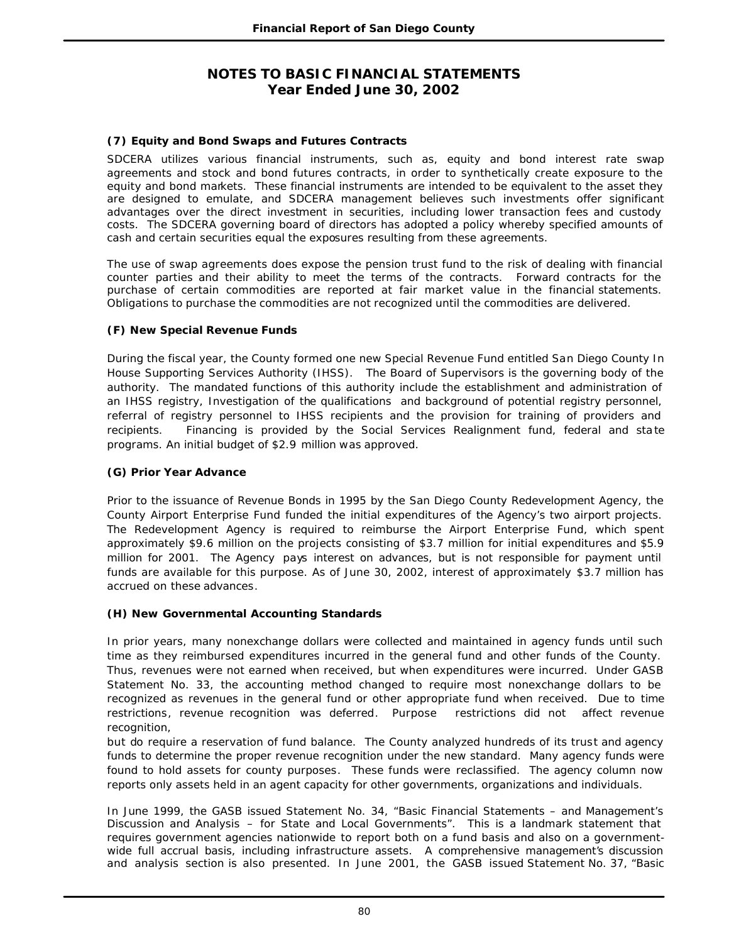### **(7) Equity and Bond Swaps and Futures Contracts**

SDCERA utilizes various financial instruments, such as, equity and bond interest rate swap agreements and stock and bond futures contracts, in order to synthetically create exposure to the equity and bond markets. These financial instruments are intended to be equivalent to the asset they are designed to emulate, and SDCERA management believes such investments offer significant advantages over the direct investment in securities, including lower transaction fees and custody costs. The SDCERA governing board of directors has adopted a policy whereby specified amounts of cash and certain securities equal the exposures resulting from these agreements.

The use of swap agreements does expose the pension trust fund to the risk of dealing with financial counter parties and their ability to meet the terms of the contracts. Forward contracts for the purchase of certain commodities are reported at fair market value in the financial statements. Obligations to purchase the commodities are not recognized until the commodities are delivered.

### **(F) New Special Revenue Funds**

During the fiscal year, the County formed one new Special Revenue Fund entitled San Diego County In House Supporting Services Authority (IHSS). The Board of Supervisors is the governing body of the authority. The mandated functions of this authority include the establishment and administration of an IHSS registry, Investigation of the qualifications and background of potential registry personnel, referral of registry personnel to IHSS recipients and the provision for training of providers and recipients. Financing is provided by the Social Services Realignment fund, federal and sta te programs. An initial budget of \$2.9 million was approved.

### **(G) Prior Year Advance**

Prior to the issuance of Revenue Bonds in 1995 by the San Diego County Redevelopment Agency, the County Airport Enterprise Fund funded the initial expenditures of the Agency's two airport projects. The Redevelopment Agency is required to reimburse the Airport Enterprise Fund, which spent approximately \$9.6 million on the projects consisting of \$3.7 million for initial expenditures and \$5.9 million for 2001. The Agency pays interest on advances, but is not responsible for payment until funds are available for this purpose. As of June 30, 2002, interest of approximately \$3.7 million has accrued on these advances.

### **(H) New Governmental Accounting Standards**

In prior years, many nonexchange dollars were collected and maintained in agency funds until such time as they reimbursed expenditures incurred in the general fund and other funds of the County. Thus, revenues were not earned when received, but when expenditures were incurred. Under GASB Statement No. 33, the accounting method changed to require most nonexchange dollars to be recognized as revenues in the general fund or other appropriate fund when received. Due to time restrictions, revenue recognition was deferred. Purpose restrictions did not affect revenue recognition,

but do require a reservation of fund balance. The County analyzed hundreds of its trust and agency funds to determine the proper revenue recognition under the new standard. Many agency funds were found to hold assets for county purposes. These funds were reclassified. The agency column now reports only assets held in an agent capacity for other governments, organizations and individuals.

In June 1999, the GASB issued Statement No. 34, "Basic Financial Statements – and Management's Discussion and Analysis – for State and Local Governments". This is a landmark statement that requires government agencies nationwide to report both on a fund basis and also on a governmentwide full accrual basis, including infrastructure assets. A comprehensive management's discussion and analysis section is also presented. In June 2001, the GASB issued Statement No. 37, "Basic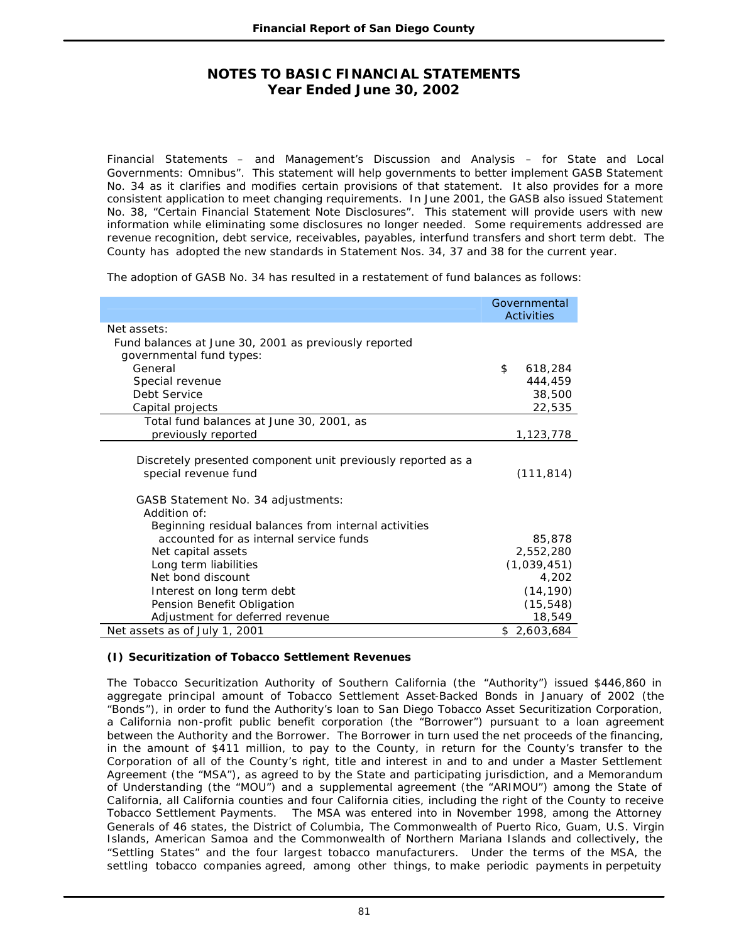Financial Statements – and Management's Discussion and Analysis – for State and Local Governments: Omnibus". This statement will help governments to better implement GASB Statement No. 34 as it clarifies and modifies certain provisions of that statement. It also provides for a more consistent application to meet changing requirements. In June 2001, the GASB also issued Statement No. 38, "Certain Financial Statement Note Disclosures". This statement will provide users with new information while eliminating some disclosures no longer needed. Some requirements addressed are revenue recognition, debt service, receivables, payables, interfund transfers and short term debt. The County has adopted the new standards in Statement Nos. 34, 37 and 38 for the current year.

The adoption of GASB No. 34 has resulted in a restatement of fund balances as follows:

|                                                                                      | Governmental<br><b>Activities</b> |
|--------------------------------------------------------------------------------------|-----------------------------------|
| Net assets:                                                                          |                                   |
| Fund balances at June 30, 2001 as previously reported                                |                                   |
| governmental fund types:                                                             |                                   |
| General                                                                              | \$<br>618,284                     |
| Special revenue                                                                      | 444,459                           |
| Debt Service                                                                         | 38,500                            |
| Capital projects                                                                     | 22,535                            |
| Total fund balances at June 30, 2001, as                                             |                                   |
| previously reported                                                                  | 1,123,778                         |
| Discretely presented component unit previously reported as a<br>special revenue fund | (111, 814)                        |
| GASB Statement No. 34 adjustments:                                                   |                                   |
| Addition of:                                                                         |                                   |
| Beginning residual balances from internal activities                                 |                                   |
| accounted for as internal service funds                                              | 85,878                            |
| Net capital assets                                                                   | 2,552,280                         |
| Long term liabilities                                                                | (1,039,451)                       |
| Net bond discount                                                                    | 4,202                             |
| Interest on long term debt                                                           | (14, 190)                         |
| Pension Benefit Obligation                                                           | (15, 548)                         |
| Adjustment for deferred revenue                                                      | 18,549                            |
| Net assets as of July 1, 2001                                                        | \$2,603,684                       |

### **(I) Securitization of Tobacco Settlement Revenues**

The Tobacco Securitization Authority of Southern California (the "Authority") issued \$446,860 in aggregate principal amount of Tobacco Settlement Asset-Backed Bonds in January of 2002 (the "Bonds"), in order to fund the Authority's loan to San Diego Tobacco Asset Securitization Corporation, a California non-profit public benefit corporation (the "Borrower") pursuant to a loan agreement between the Authority and the Borrower. The Borrower in turn used the net proceeds of the financing, in the amount of \$411 million, to pay to the County, in return for the County's transfer to the Corporation of all of the County's right, title and interest in and to and under a Master Settlement Agreement (the "MSA"), as agreed to by the State and participating jurisdiction, and a Memorandum of Understanding (the "MOU") and a supplemental agreement (the "ARIMOU") among the State of California, all California counties and four California cities, including the right of the County to receive Tobacco Settlement Payments. The MSA was entered into in November 1998, among the Attorney Generals of 46 states, the District of Columbia, The Commonwealth of Puerto Rico, Guam, U.S. Virgin Islands, American Samoa and the Commonwealth of Northern Mariana Islands and collectively, the "Settling States" and the four largest tobacco manufacturers. Under the terms of the MSA, the settling tobacco companies agreed, among other things, to make periodic payments in perpetuity